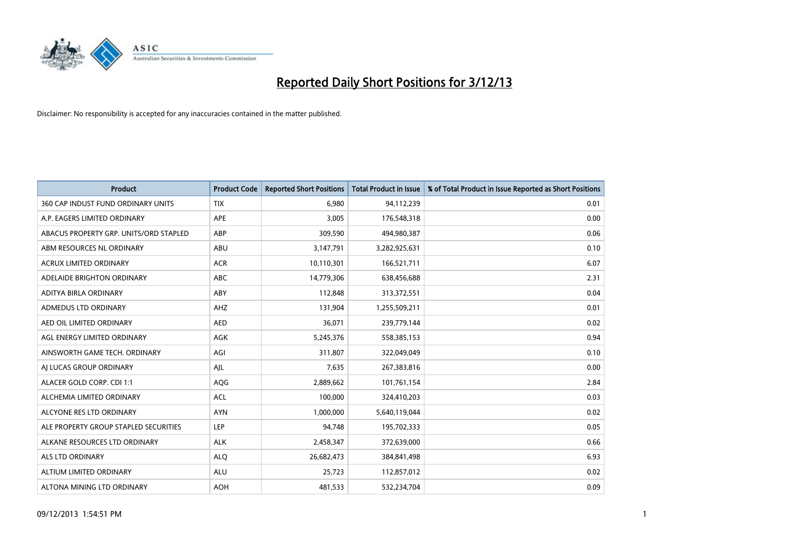

| <b>Product</b>                         | <b>Product Code</b> | <b>Reported Short Positions</b> | <b>Total Product in Issue</b> | % of Total Product in Issue Reported as Short Positions |
|----------------------------------------|---------------------|---------------------------------|-------------------------------|---------------------------------------------------------|
| 360 CAP INDUST FUND ORDINARY UNITS     | <b>TIX</b>          | 6,980                           | 94,112,239                    | 0.01                                                    |
| A.P. EAGERS LIMITED ORDINARY           | APE                 | 3,005                           | 176,548,318                   | 0.00                                                    |
| ABACUS PROPERTY GRP. UNITS/ORD STAPLED | ABP                 | 309,590                         | 494,980,387                   | 0.06                                                    |
| ABM RESOURCES NL ORDINARY              | ABU                 | 3,147,791                       | 3,282,925,631                 | 0.10                                                    |
| <b>ACRUX LIMITED ORDINARY</b>          | <b>ACR</b>          | 10,110,301                      | 166,521,711                   | 6.07                                                    |
| ADELAIDE BRIGHTON ORDINARY             | <b>ABC</b>          | 14,779,306                      | 638,456,688                   | 2.31                                                    |
| ADITYA BIRLA ORDINARY                  | ABY                 | 112,848                         | 313,372,551                   | 0.04                                                    |
| ADMEDUS LTD ORDINARY                   | AHZ                 | 131,904                         | 1,255,509,211                 | 0.01                                                    |
| AED OIL LIMITED ORDINARY               | <b>AED</b>          | 36,071                          | 239,779,144                   | 0.02                                                    |
| AGL ENERGY LIMITED ORDINARY            | <b>AGK</b>          | 5,245,376                       | 558,385,153                   | 0.94                                                    |
| AINSWORTH GAME TECH. ORDINARY          | AGI                 | 311,807                         | 322,049,049                   | 0.10                                                    |
| AI LUCAS GROUP ORDINARY                | AJL                 | 7,635                           | 267,383,816                   | 0.00                                                    |
| ALACER GOLD CORP. CDI 1:1              | AQG                 | 2,889,662                       | 101,761,154                   | 2.84                                                    |
| ALCHEMIA LIMITED ORDINARY              | <b>ACL</b>          | 100,000                         | 324,410,203                   | 0.03                                                    |
| ALCYONE RES LTD ORDINARY               | <b>AYN</b>          | 1,000,000                       | 5,640,119,044                 | 0.02                                                    |
| ALE PROPERTY GROUP STAPLED SECURITIES  | LEP                 | 94,748                          | 195,702,333                   | 0.05                                                    |
| ALKANE RESOURCES LTD ORDINARY          | <b>ALK</b>          | 2,458,347                       | 372,639,000                   | 0.66                                                    |
| <b>ALS LTD ORDINARY</b>                | <b>ALQ</b>          | 26,682,473                      | 384,841,498                   | 6.93                                                    |
| ALTIUM LIMITED ORDINARY                | <b>ALU</b>          | 25,723                          | 112,857,012                   | 0.02                                                    |
| ALTONA MINING LTD ORDINARY             | <b>AOH</b>          | 481,533                         | 532,234,704                   | 0.09                                                    |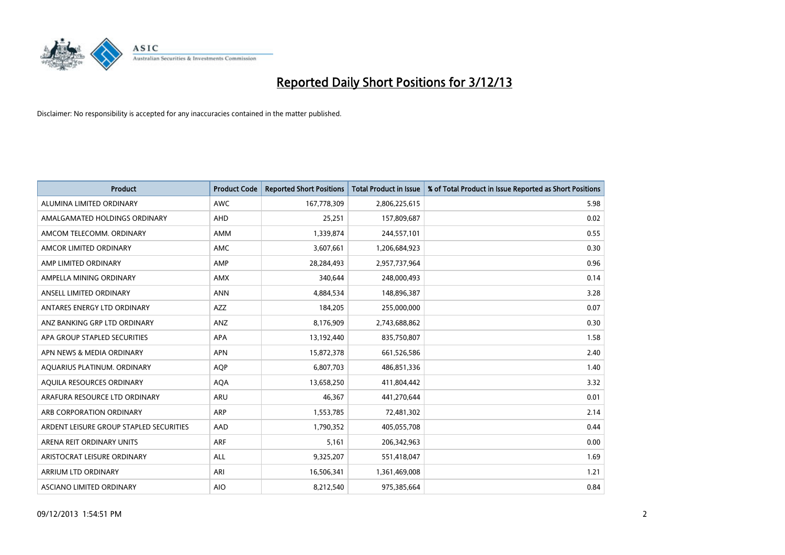

| <b>Product</b>                          | <b>Product Code</b> | <b>Reported Short Positions</b> | <b>Total Product in Issue</b> | % of Total Product in Issue Reported as Short Positions |
|-----------------------------------------|---------------------|---------------------------------|-------------------------------|---------------------------------------------------------|
| ALUMINA LIMITED ORDINARY                | <b>AWC</b>          | 167,778,309                     | 2,806,225,615                 | 5.98                                                    |
| AMALGAMATED HOLDINGS ORDINARY           | AHD                 | 25,251                          | 157,809,687                   | 0.02                                                    |
| AMCOM TELECOMM, ORDINARY                | AMM                 | 1,339,874                       | 244,557,101                   | 0.55                                                    |
| AMCOR LIMITED ORDINARY                  | AMC                 | 3,607,661                       | 1,206,684,923                 | 0.30                                                    |
| AMP LIMITED ORDINARY                    | AMP                 | 28,284,493                      | 2,957,737,964                 | 0.96                                                    |
| AMPELLA MINING ORDINARY                 | AMX                 | 340,644                         | 248,000,493                   | 0.14                                                    |
| ANSELL LIMITED ORDINARY                 | <b>ANN</b>          | 4,884,534                       | 148,896,387                   | 3.28                                                    |
| ANTARES ENERGY LTD ORDINARY             | AZZ                 | 184,205                         | 255,000,000                   | 0.07                                                    |
| ANZ BANKING GRP LTD ORDINARY            | ANZ                 | 8,176,909                       | 2,743,688,862                 | 0.30                                                    |
| APA GROUP STAPLED SECURITIES            | <b>APA</b>          | 13,192,440                      | 835,750,807                   | 1.58                                                    |
| APN NEWS & MEDIA ORDINARY               | <b>APN</b>          | 15,872,378                      | 661,526,586                   | 2.40                                                    |
| AQUARIUS PLATINUM. ORDINARY             | AQP                 | 6,807,703                       | 486,851,336                   | 1.40                                                    |
| AQUILA RESOURCES ORDINARY               | <b>AQA</b>          | 13,658,250                      | 411,804,442                   | 3.32                                                    |
| ARAFURA RESOURCE LTD ORDINARY           | <b>ARU</b>          | 46.367                          | 441,270,644                   | 0.01                                                    |
| ARB CORPORATION ORDINARY                | ARP                 | 1,553,785                       | 72,481,302                    | 2.14                                                    |
| ARDENT LEISURE GROUP STAPLED SECURITIES | <b>AAD</b>          | 1,790,352                       | 405,055,708                   | 0.44                                                    |
| ARENA REIT ORDINARY UNITS               | <b>ARF</b>          | 5,161                           | 206,342,963                   | 0.00                                                    |
| ARISTOCRAT LEISURE ORDINARY             | ALL                 | 9,325,207                       | 551,418,047                   | 1.69                                                    |
| ARRIUM LTD ORDINARY                     | ARI                 | 16,506,341                      | 1,361,469,008                 | 1.21                                                    |
| ASCIANO LIMITED ORDINARY                | <b>AIO</b>          | 8,212,540                       | 975,385,664                   | 0.84                                                    |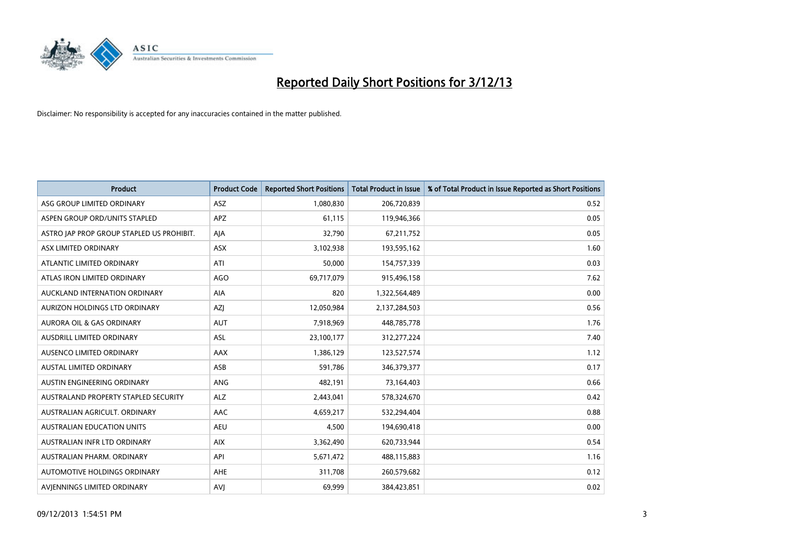

| <b>Product</b>                            | <b>Product Code</b> | <b>Reported Short Positions</b> | <b>Total Product in Issue</b> | % of Total Product in Issue Reported as Short Positions |
|-------------------------------------------|---------------------|---------------------------------|-------------------------------|---------------------------------------------------------|
| ASG GROUP LIMITED ORDINARY                | <b>ASZ</b>          | 1,080,830                       | 206,720,839                   | 0.52                                                    |
| ASPEN GROUP ORD/UNITS STAPLED             | <b>APZ</b>          | 61,115                          | 119,946,366                   | 0.05                                                    |
| ASTRO JAP PROP GROUP STAPLED US PROHIBIT. | AJA                 | 32,790                          | 67,211,752                    | 0.05                                                    |
| ASX LIMITED ORDINARY                      | ASX                 | 3,102,938                       | 193,595,162                   | 1.60                                                    |
| ATLANTIC LIMITED ORDINARY                 | ATI                 | 50,000                          | 154,757,339                   | 0.03                                                    |
| ATLAS IRON LIMITED ORDINARY               | <b>AGO</b>          | 69,717,079                      | 915,496,158                   | 7.62                                                    |
| AUCKLAND INTERNATION ORDINARY             | AIA                 | 820                             | 1,322,564,489                 | 0.00                                                    |
| AURIZON HOLDINGS LTD ORDINARY             | AZJ                 | 12,050,984                      | 2,137,284,503                 | 0.56                                                    |
| <b>AURORA OIL &amp; GAS ORDINARY</b>      | <b>AUT</b>          | 7,918,969                       | 448,785,778                   | 1.76                                                    |
| AUSDRILL LIMITED ORDINARY                 | ASL                 | 23,100,177                      | 312,277,224                   | 7.40                                                    |
| AUSENCO LIMITED ORDINARY                  | AAX                 | 1,386,129                       | 123,527,574                   | 1.12                                                    |
| <b>AUSTAL LIMITED ORDINARY</b>            | ASB                 | 591,786                         | 346, 379, 377                 | 0.17                                                    |
| AUSTIN ENGINEERING ORDINARY               | ANG                 | 482,191                         | 73,164,403                    | 0.66                                                    |
| AUSTRALAND PROPERTY STAPLED SECURITY      | <b>ALZ</b>          | 2,443,041                       | 578,324,670                   | 0.42                                                    |
| AUSTRALIAN AGRICULT, ORDINARY             | <b>AAC</b>          | 4,659,217                       | 532,294,404                   | 0.88                                                    |
| AUSTRALIAN EDUCATION UNITS                | <b>AEU</b>          | 4,500                           | 194,690,418                   | 0.00                                                    |
| AUSTRALIAN INFR LTD ORDINARY              | <b>AIX</b>          | 3,362,490                       | 620,733,944                   | 0.54                                                    |
| AUSTRALIAN PHARM. ORDINARY                | API                 | 5,671,472                       | 488,115,883                   | 1.16                                                    |
| AUTOMOTIVE HOLDINGS ORDINARY              | <b>AHE</b>          | 311,708                         | 260,579,682                   | 0.12                                                    |
| AVIENNINGS LIMITED ORDINARY               | <b>AVJ</b>          | 69,999                          | 384,423,851                   | 0.02                                                    |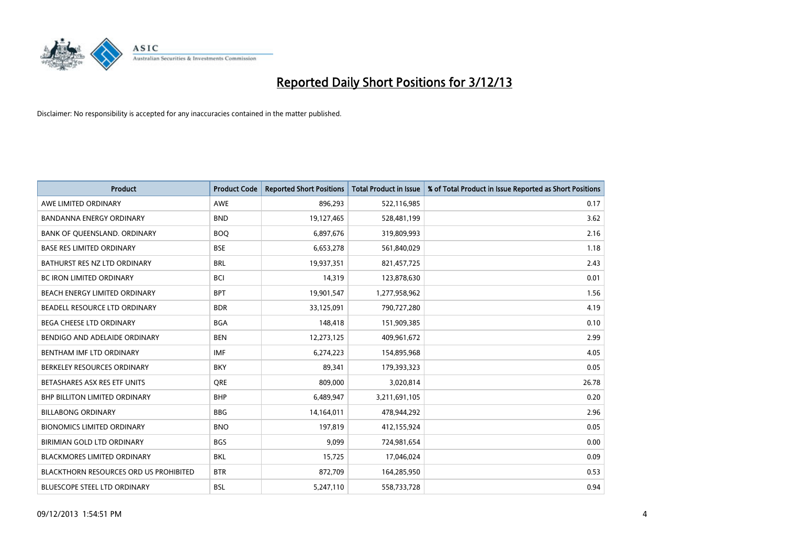

| <b>Product</b>                                | <b>Product Code</b> | <b>Reported Short Positions</b> | <b>Total Product in Issue</b> | % of Total Product in Issue Reported as Short Positions |
|-----------------------------------------------|---------------------|---------------------------------|-------------------------------|---------------------------------------------------------|
| AWE LIMITED ORDINARY                          | <b>AWE</b>          | 896,293                         | 522,116,985                   | 0.17                                                    |
| BANDANNA ENERGY ORDINARY                      | <b>BND</b>          | 19,127,465                      | 528,481,199                   | 3.62                                                    |
| BANK OF QUEENSLAND. ORDINARY                  | <b>BOO</b>          | 6,897,676                       | 319,809,993                   | 2.16                                                    |
| <b>BASE RES LIMITED ORDINARY</b>              | <b>BSE</b>          | 6,653,278                       | 561,840,029                   | 1.18                                                    |
| BATHURST RES NZ LTD ORDINARY                  | <b>BRL</b>          | 19,937,351                      | 821,457,725                   | 2.43                                                    |
| BC IRON LIMITED ORDINARY                      | <b>BCI</b>          | 14,319                          | 123,878,630                   | 0.01                                                    |
| BEACH ENERGY LIMITED ORDINARY                 | <b>BPT</b>          | 19,901,547                      | 1,277,958,962                 | 1.56                                                    |
| BEADELL RESOURCE LTD ORDINARY                 | <b>BDR</b>          | 33,125,091                      | 790,727,280                   | 4.19                                                    |
| BEGA CHEESE LTD ORDINARY                      | <b>BGA</b>          | 148,418                         | 151,909,385                   | 0.10                                                    |
| BENDIGO AND ADELAIDE ORDINARY                 | <b>BEN</b>          | 12,273,125                      | 409,961,672                   | 2.99                                                    |
| BENTHAM IMF LTD ORDINARY                      | <b>IMF</b>          | 6,274,223                       | 154,895,968                   | 4.05                                                    |
| BERKELEY RESOURCES ORDINARY                   | <b>BKY</b>          | 89,341                          | 179,393,323                   | 0.05                                                    |
| BETASHARES ASX RES ETF UNITS                  | <b>ORE</b>          | 809,000                         | 3,020,814                     | 26.78                                                   |
| <b>BHP BILLITON LIMITED ORDINARY</b>          | <b>BHP</b>          | 6,489,947                       | 3,211,691,105                 | 0.20                                                    |
| <b>BILLABONG ORDINARY</b>                     | <b>BBG</b>          | 14,164,011                      | 478,944,292                   | 2.96                                                    |
| <b>BIONOMICS LIMITED ORDINARY</b>             | <b>BNO</b>          | 197.819                         | 412,155,924                   | 0.05                                                    |
| BIRIMIAN GOLD LTD ORDINARY                    | <b>BGS</b>          | 9,099                           | 724,981,654                   | 0.00                                                    |
| <b>BLACKMORES LIMITED ORDINARY</b>            | <b>BKL</b>          | 15,725                          | 17,046,024                    | 0.09                                                    |
| <b>BLACKTHORN RESOURCES ORD US PROHIBITED</b> | <b>BTR</b>          | 872,709                         | 164,285,950                   | 0.53                                                    |
| BLUESCOPE STEEL LTD ORDINARY                  | <b>BSL</b>          | 5,247,110                       | 558,733,728                   | 0.94                                                    |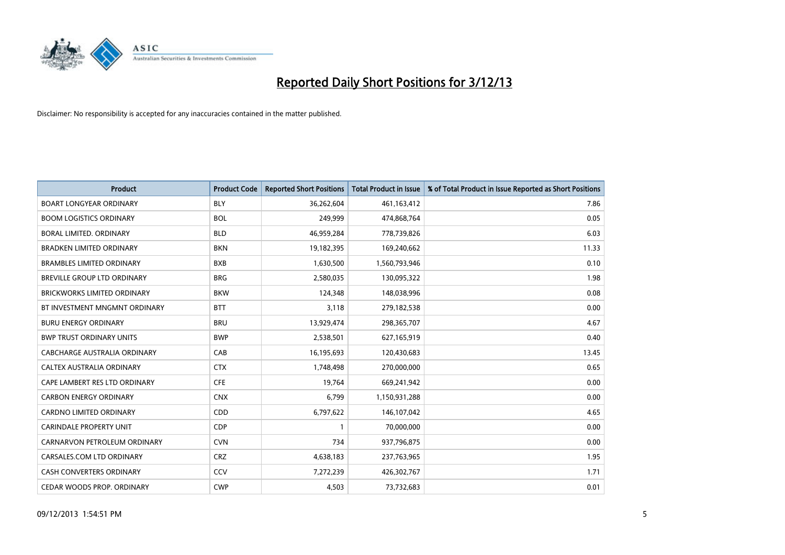

| <b>Product</b>                     | <b>Product Code</b> | <b>Reported Short Positions</b> | <b>Total Product in Issue</b> | % of Total Product in Issue Reported as Short Positions |
|------------------------------------|---------------------|---------------------------------|-------------------------------|---------------------------------------------------------|
| <b>BOART LONGYEAR ORDINARY</b>     | <b>BLY</b>          | 36,262,604                      | 461,163,412                   | 7.86                                                    |
| <b>BOOM LOGISTICS ORDINARY</b>     | <b>BOL</b>          | 249,999                         | 474,868,764                   | 0.05                                                    |
| BORAL LIMITED, ORDINARY            | <b>BLD</b>          | 46,959,284                      | 778,739,826                   | 6.03                                                    |
| <b>BRADKEN LIMITED ORDINARY</b>    | <b>BKN</b>          | 19,182,395                      | 169,240,662                   | 11.33                                                   |
| <b>BRAMBLES LIMITED ORDINARY</b>   | <b>BXB</b>          | 1,630,500                       | 1,560,793,946                 | 0.10                                                    |
| BREVILLE GROUP LTD ORDINARY        | <b>BRG</b>          | 2,580,035                       | 130,095,322                   | 1.98                                                    |
| <b>BRICKWORKS LIMITED ORDINARY</b> | <b>BKW</b>          | 124,348                         | 148,038,996                   | 0.08                                                    |
| BT INVESTMENT MNGMNT ORDINARY      | <b>BTT</b>          | 3,118                           | 279,182,538                   | 0.00                                                    |
| <b>BURU ENERGY ORDINARY</b>        | <b>BRU</b>          | 13,929,474                      | 298,365,707                   | 4.67                                                    |
| <b>BWP TRUST ORDINARY UNITS</b>    | <b>BWP</b>          | 2,538,501                       | 627,165,919                   | 0.40                                                    |
| CABCHARGE AUSTRALIA ORDINARY       | CAB                 | 16,195,693                      | 120,430,683                   | 13.45                                                   |
| CALTEX AUSTRALIA ORDINARY          | <b>CTX</b>          | 1,748,498                       | 270,000,000                   | 0.65                                                    |
| CAPE LAMBERT RES LTD ORDINARY      | <b>CFE</b>          | 19,764                          | 669,241,942                   | 0.00                                                    |
| <b>CARBON ENERGY ORDINARY</b>      | <b>CNX</b>          | 6,799                           | 1,150,931,288                 | 0.00                                                    |
| <b>CARDNO LIMITED ORDINARY</b>     | CDD                 | 6,797,622                       | 146,107,042                   | 4.65                                                    |
| CARINDALE PROPERTY UNIT            | <b>CDP</b>          |                                 | 70,000,000                    | 0.00                                                    |
| CARNARVON PETROLEUM ORDINARY       | <b>CVN</b>          | 734                             | 937,796,875                   | 0.00                                                    |
| CARSALES.COM LTD ORDINARY          | <b>CRZ</b>          | 4,638,183                       | 237,763,965                   | 1.95                                                    |
| <b>CASH CONVERTERS ORDINARY</b>    | CCV                 | 7,272,239                       | 426,302,767                   | 1.71                                                    |
| CEDAR WOODS PROP. ORDINARY         | <b>CWP</b>          | 4,503                           | 73,732,683                    | 0.01                                                    |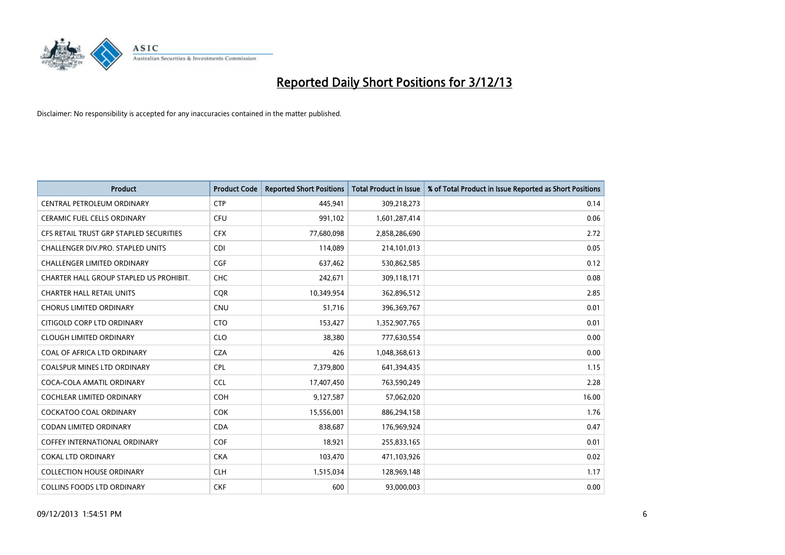

| <b>Product</b>                          | <b>Product Code</b> | <b>Reported Short Positions</b> | <b>Total Product in Issue</b> | % of Total Product in Issue Reported as Short Positions |
|-----------------------------------------|---------------------|---------------------------------|-------------------------------|---------------------------------------------------------|
| CENTRAL PETROLEUM ORDINARY              | <b>CTP</b>          | 445,941                         | 309,218,273                   | 0.14                                                    |
| CERAMIC FUEL CELLS ORDINARY             | <b>CFU</b>          | 991,102                         | 1,601,287,414                 | 0.06                                                    |
| CFS RETAIL TRUST GRP STAPLED SECURITIES | <b>CFX</b>          | 77,680,098                      | 2,858,286,690                 | 2.72                                                    |
| CHALLENGER DIV.PRO. STAPLED UNITS       | <b>CDI</b>          | 114,089                         | 214,101,013                   | 0.05                                                    |
| <b>CHALLENGER LIMITED ORDINARY</b>      | <b>CGF</b>          | 637,462                         | 530,862,585                   | 0.12                                                    |
| CHARTER HALL GROUP STAPLED US PROHIBIT. | <b>CHC</b>          | 242,671                         | 309,118,171                   | 0.08                                                    |
| <b>CHARTER HALL RETAIL UNITS</b>        | <b>COR</b>          | 10,349,954                      | 362,896,512                   | 2.85                                                    |
| <b>CHORUS LIMITED ORDINARY</b>          | <b>CNU</b>          | 51,716                          | 396,369,767                   | 0.01                                                    |
| CITIGOLD CORP LTD ORDINARY              | <b>CTO</b>          | 153,427                         | 1,352,907,765                 | 0.01                                                    |
| <b>CLOUGH LIMITED ORDINARY</b>          | <b>CLO</b>          | 38,380                          | 777,630,554                   | 0.00                                                    |
| COAL OF AFRICA LTD ORDINARY             | <b>CZA</b>          | 426                             | 1,048,368,613                 | 0.00                                                    |
| <b>COALSPUR MINES LTD ORDINARY</b>      | <b>CPL</b>          | 7,379,800                       | 641,394,435                   | 1.15                                                    |
| COCA-COLA AMATIL ORDINARY               | <b>CCL</b>          | 17,407,450                      | 763,590,249                   | 2.28                                                    |
| COCHLEAR LIMITED ORDINARY               | <b>COH</b>          | 9,127,587                       | 57,062,020                    | 16.00                                                   |
| <b>COCKATOO COAL ORDINARY</b>           | <b>COK</b>          | 15,556,001                      | 886,294,158                   | 1.76                                                    |
| CODAN LIMITED ORDINARY                  | <b>CDA</b>          | 838,687                         | 176,969,924                   | 0.47                                                    |
| COFFEY INTERNATIONAL ORDINARY           | <b>COF</b>          | 18,921                          | 255,833,165                   | 0.01                                                    |
| <b>COKAL LTD ORDINARY</b>               | <b>CKA</b>          | 103,470                         | 471,103,926                   | 0.02                                                    |
| <b>COLLECTION HOUSE ORDINARY</b>        | <b>CLH</b>          | 1,515,034                       | 128,969,148                   | 1.17                                                    |
| <b>COLLINS FOODS LTD ORDINARY</b>       | <b>CKF</b>          | 600                             | 93,000,003                    | 0.00                                                    |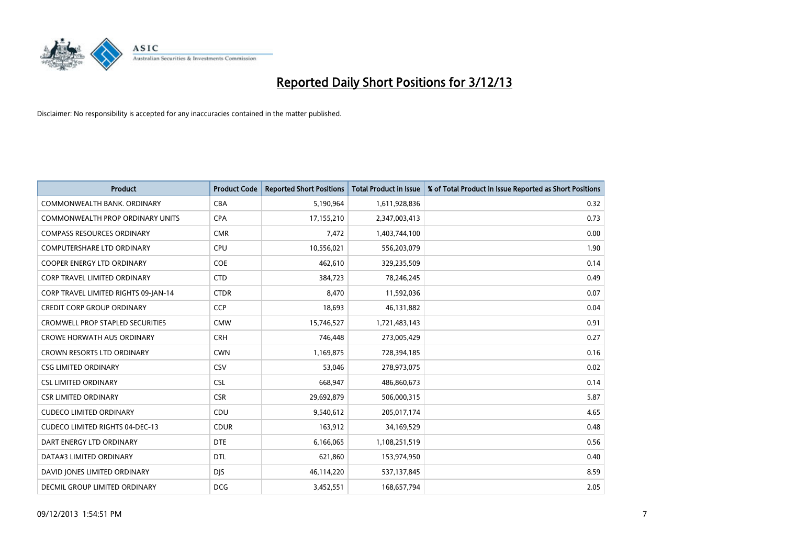

| <b>Product</b>                         | <b>Product Code</b> | <b>Reported Short Positions</b> | <b>Total Product in Issue</b> | % of Total Product in Issue Reported as Short Positions |
|----------------------------------------|---------------------|---------------------------------|-------------------------------|---------------------------------------------------------|
| COMMONWEALTH BANK, ORDINARY            | <b>CBA</b>          | 5,190,964                       | 1,611,928,836                 | 0.32                                                    |
| COMMONWEALTH PROP ORDINARY UNITS       | <b>CPA</b>          | 17,155,210                      | 2,347,003,413                 | 0.73                                                    |
| <b>COMPASS RESOURCES ORDINARY</b>      | <b>CMR</b>          | 7,472                           | 1,403,744,100                 | 0.00                                                    |
| <b>COMPUTERSHARE LTD ORDINARY</b>      | <b>CPU</b>          | 10,556,021                      | 556,203,079                   | 1.90                                                    |
| <b>COOPER ENERGY LTD ORDINARY</b>      | <b>COE</b>          | 462,610                         | 329,235,509                   | 0.14                                                    |
| CORP TRAVEL LIMITED ORDINARY           | <b>CTD</b>          | 384,723                         | 78,246,245                    | 0.49                                                    |
| CORP TRAVEL LIMITED RIGHTS 09-JAN-14   | <b>CTDR</b>         | 8,470                           | 11,592,036                    | 0.07                                                    |
| <b>CREDIT CORP GROUP ORDINARY</b>      | <b>CCP</b>          | 18,693                          | 46,131,882                    | 0.04                                                    |
| CROMWELL PROP STAPLED SECURITIES       | <b>CMW</b>          | 15,746,527                      | 1,721,483,143                 | 0.91                                                    |
| <b>CROWE HORWATH AUS ORDINARY</b>      | <b>CRH</b>          | 746,448                         | 273,005,429                   | 0.27                                                    |
| <b>CROWN RESORTS LTD ORDINARY</b>      | <b>CWN</b>          | 1,169,875                       | 728,394,185                   | 0.16                                                    |
| <b>CSG LIMITED ORDINARY</b>            | <b>CSV</b>          | 53,046                          | 278,973,075                   | 0.02                                                    |
| <b>CSL LIMITED ORDINARY</b>            | <b>CSL</b>          | 668,947                         | 486,860,673                   | 0.14                                                    |
| <b>CSR LIMITED ORDINARY</b>            | <b>CSR</b>          | 29,692,879                      | 506,000,315                   | 5.87                                                    |
| <b>CUDECO LIMITED ORDINARY</b>         | CDU                 | 9,540,612                       | 205,017,174                   | 4.65                                                    |
| <b>CUDECO LIMITED RIGHTS 04-DEC-13</b> | <b>CDUR</b>         | 163,912                         | 34,169,529                    | 0.48                                                    |
| DART ENERGY LTD ORDINARY               | <b>DTE</b>          | 6,166,065                       | 1,108,251,519                 | 0.56                                                    |
| DATA#3 LIMITED ORDINARY                | <b>DTL</b>          | 621,860                         | 153,974,950                   | 0.40                                                    |
| DAVID JONES LIMITED ORDINARY           | <b>DJS</b>          | 46,114,220                      | 537,137,845                   | 8.59                                                    |
| <b>DECMIL GROUP LIMITED ORDINARY</b>   | <b>DCG</b>          | 3,452,551                       | 168,657,794                   | 2.05                                                    |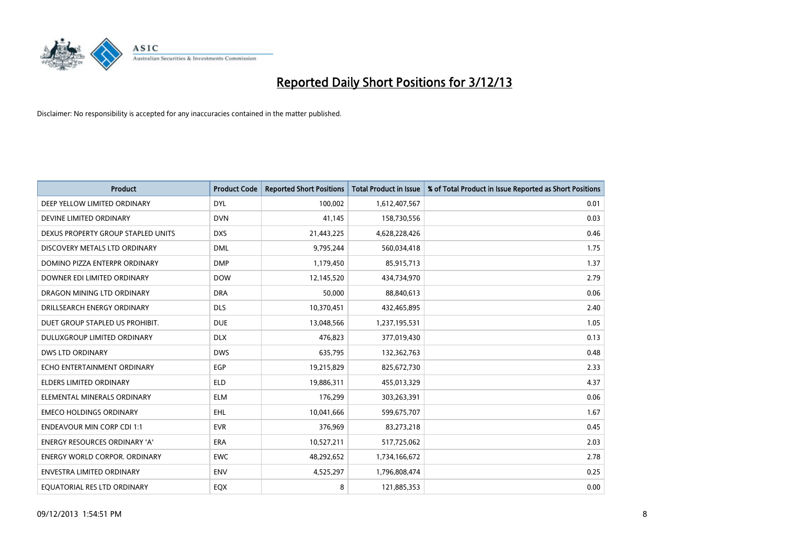

| <b>Product</b>                       | <b>Product Code</b> | <b>Reported Short Positions</b> | <b>Total Product in Issue</b> | % of Total Product in Issue Reported as Short Positions |
|--------------------------------------|---------------------|---------------------------------|-------------------------------|---------------------------------------------------------|
| DEEP YELLOW LIMITED ORDINARY         | <b>DYL</b>          | 100,002                         | 1,612,407,567                 | 0.01                                                    |
| DEVINE LIMITED ORDINARY              | <b>DVN</b>          | 41,145                          | 158,730,556                   | 0.03                                                    |
| DEXUS PROPERTY GROUP STAPLED UNITS   | <b>DXS</b>          | 21,443,225                      | 4,628,228,426                 | 0.46                                                    |
| DISCOVERY METALS LTD ORDINARY        | <b>DML</b>          | 9,795,244                       | 560,034,418                   | 1.75                                                    |
| DOMINO PIZZA ENTERPR ORDINARY        | <b>DMP</b>          | 1,179,450                       | 85,915,713                    | 1.37                                                    |
| DOWNER EDI LIMITED ORDINARY          | <b>DOW</b>          | 12,145,520                      | 434,734,970                   | 2.79                                                    |
| DRAGON MINING LTD ORDINARY           | <b>DRA</b>          | 50,000                          | 88,840,613                    | 0.06                                                    |
| DRILLSEARCH ENERGY ORDINARY          | <b>DLS</b>          | 10,370,451                      | 432,465,895                   | 2.40                                                    |
| DUET GROUP STAPLED US PROHIBIT.      | <b>DUE</b>          | 13,048,566                      | 1,237,195,531                 | 1.05                                                    |
| DULUXGROUP LIMITED ORDINARY          | <b>DLX</b>          | 476,823                         | 377,019,430                   | 0.13                                                    |
| DWS LTD ORDINARY                     | <b>DWS</b>          | 635,795                         | 132,362,763                   | 0.48                                                    |
| ECHO ENTERTAINMENT ORDINARY          | <b>EGP</b>          | 19,215,829                      | 825,672,730                   | 2.33                                                    |
| <b>ELDERS LIMITED ORDINARY</b>       | <b>ELD</b>          | 19,886,311                      | 455,013,329                   | 4.37                                                    |
| ELEMENTAL MINERALS ORDINARY          | <b>ELM</b>          | 176,299                         | 303,263,391                   | 0.06                                                    |
| <b>EMECO HOLDINGS ORDINARY</b>       | <b>EHL</b>          | 10,041,666                      | 599,675,707                   | 1.67                                                    |
| <b>ENDEAVOUR MIN CORP CDI 1:1</b>    | <b>EVR</b>          | 376,969                         | 83,273,218                    | 0.45                                                    |
| ENERGY RESOURCES ORDINARY 'A'        | ERA                 | 10,527,211                      | 517,725,062                   | 2.03                                                    |
| <b>ENERGY WORLD CORPOR. ORDINARY</b> | <b>EWC</b>          | 48,292,652                      | 1,734,166,672                 | 2.78                                                    |
| <b>ENVESTRA LIMITED ORDINARY</b>     | <b>ENV</b>          | 4,525,297                       | 1,796,808,474                 | 0.25                                                    |
| EQUATORIAL RES LTD ORDINARY          | EQX                 | 8                               | 121,885,353                   | 0.00                                                    |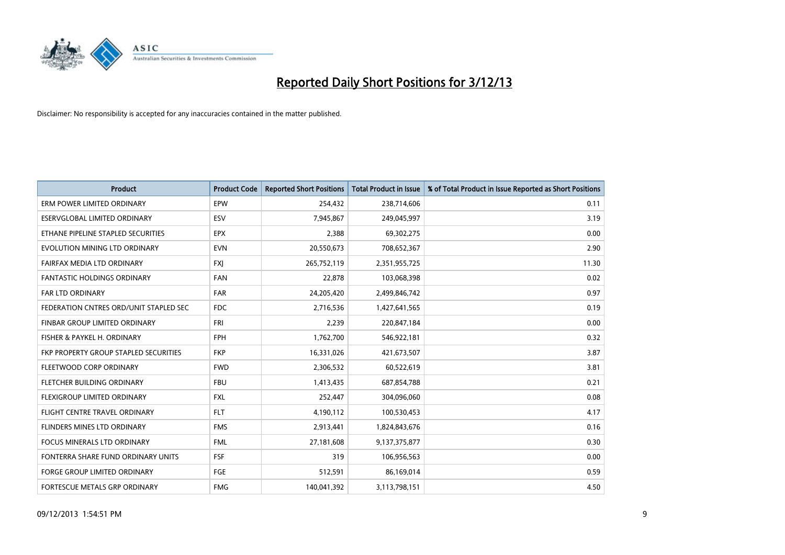

| <b>Product</b>                         | <b>Product Code</b> | <b>Reported Short Positions</b> | <b>Total Product in Issue</b> | % of Total Product in Issue Reported as Short Positions |
|----------------------------------------|---------------------|---------------------------------|-------------------------------|---------------------------------------------------------|
| ERM POWER LIMITED ORDINARY             | EPW                 | 254,432                         | 238,714,606                   | 0.11                                                    |
| ESERVGLOBAL LIMITED ORDINARY           | ESV                 | 7,945,867                       | 249,045,997                   | 3.19                                                    |
| ETHANE PIPELINE STAPLED SECURITIES     | <b>EPX</b>          | 2,388                           | 69,302,275                    | 0.00                                                    |
| EVOLUTION MINING LTD ORDINARY          | <b>EVN</b>          | 20,550,673                      | 708,652,367                   | 2.90                                                    |
| FAIRFAX MEDIA LTD ORDINARY             | <b>FXI</b>          | 265,752,119                     | 2,351,955,725                 | 11.30                                                   |
| <b>FANTASTIC HOLDINGS ORDINARY</b>     | <b>FAN</b>          | 22,878                          | 103,068,398                   | 0.02                                                    |
| <b>FAR LTD ORDINARY</b>                | <b>FAR</b>          | 24,205,420                      | 2,499,846,742                 | 0.97                                                    |
| FEDERATION CNTRES ORD/UNIT STAPLED SEC | <b>FDC</b>          | 2,716,536                       | 1,427,641,565                 | 0.19                                                    |
| FINBAR GROUP LIMITED ORDINARY          | FRI                 | 2,239                           | 220,847,184                   | 0.00                                                    |
| FISHER & PAYKEL H. ORDINARY            | <b>FPH</b>          | 1,762,700                       | 546,922,181                   | 0.32                                                    |
| FKP PROPERTY GROUP STAPLED SECURITIES  | <b>FKP</b>          | 16,331,026                      | 421,673,507                   | 3.87                                                    |
| FLEETWOOD CORP ORDINARY                | <b>FWD</b>          | 2,306,532                       | 60,522,619                    | 3.81                                                    |
| FLETCHER BUILDING ORDINARY             | <b>FBU</b>          | 1,413,435                       | 687,854,788                   | 0.21                                                    |
| FLEXIGROUP LIMITED ORDINARY            | <b>FXL</b>          | 252,447                         | 304,096,060                   | 0.08                                                    |
| FLIGHT CENTRE TRAVEL ORDINARY          | <b>FLT</b>          | 4,190,112                       | 100,530,453                   | 4.17                                                    |
| FLINDERS MINES LTD ORDINARY            | <b>FMS</b>          | 2,913,441                       | 1,824,843,676                 | 0.16                                                    |
| <b>FOCUS MINERALS LTD ORDINARY</b>     | <b>FML</b>          | 27,181,608                      | 9,137,375,877                 | 0.30                                                    |
| FONTERRA SHARE FUND ORDINARY UNITS     | <b>FSF</b>          | 319                             | 106,956,563                   | 0.00                                                    |
| <b>FORGE GROUP LIMITED ORDINARY</b>    | FGE                 | 512,591                         | 86,169,014                    | 0.59                                                    |
| FORTESCUE METALS GRP ORDINARY          | <b>FMG</b>          | 140,041,392                     | 3,113,798,151                 | 4.50                                                    |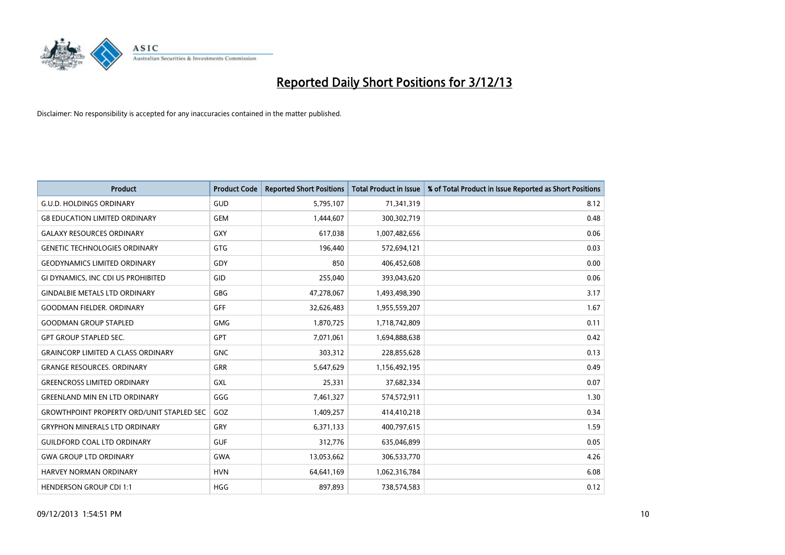

| <b>Product</b>                                   | <b>Product Code</b> | <b>Reported Short Positions</b> | <b>Total Product in Issue</b> | % of Total Product in Issue Reported as Short Positions |
|--------------------------------------------------|---------------------|---------------------------------|-------------------------------|---------------------------------------------------------|
| <b>G.U.D. HOLDINGS ORDINARY</b>                  | GUD                 | 5,795,107                       | 71,341,319                    | 8.12                                                    |
| <b>G8 EDUCATION LIMITED ORDINARY</b>             | <b>GEM</b>          | 1,444,607                       | 300, 302, 719                 | 0.48                                                    |
| <b>GALAXY RESOURCES ORDINARY</b>                 | <b>GXY</b>          | 617,038                         | 1,007,482,656                 | 0.06                                                    |
| <b>GENETIC TECHNOLOGIES ORDINARY</b>             | GTG                 | 196,440                         | 572,694,121                   | 0.03                                                    |
| <b>GEODYNAMICS LIMITED ORDINARY</b>              | GDY                 | 850                             | 406,452,608                   | 0.00                                                    |
| GI DYNAMICS, INC CDI US PROHIBITED               | GID                 | 255,040                         | 393,043,620                   | 0.06                                                    |
| <b>GINDALBIE METALS LTD ORDINARY</b>             | <b>GBG</b>          | 47,278,067                      | 1,493,498,390                 | 3.17                                                    |
| <b>GOODMAN FIELDER. ORDINARY</b>                 | <b>GFF</b>          | 32,626,483                      | 1,955,559,207                 | 1.67                                                    |
| <b>GOODMAN GROUP STAPLED</b>                     | <b>GMG</b>          | 1,870,725                       | 1,718,742,809                 | 0.11                                                    |
| <b>GPT GROUP STAPLED SEC.</b>                    | <b>GPT</b>          | 7,071,061                       | 1,694,888,638                 | 0.42                                                    |
| <b>GRAINCORP LIMITED A CLASS ORDINARY</b>        | <b>GNC</b>          | 303,312                         | 228,855,628                   | 0.13                                                    |
| <b>GRANGE RESOURCES, ORDINARY</b>                | <b>GRR</b>          | 5,647,629                       | 1,156,492,195                 | 0.49                                                    |
| <b>GREENCROSS LIMITED ORDINARY</b>               | <b>GXL</b>          | 25,331                          | 37,682,334                    | 0.07                                                    |
| <b>GREENLAND MIN EN LTD ORDINARY</b>             | GGG                 | 7,461,327                       | 574,572,911                   | 1.30                                                    |
| <b>GROWTHPOINT PROPERTY ORD/UNIT STAPLED SEC</b> | GOZ                 | 1,409,257                       | 414,410,218                   | 0.34                                                    |
| <b>GRYPHON MINERALS LTD ORDINARY</b>             | GRY                 | 6,371,133                       | 400,797,615                   | 1.59                                                    |
| <b>GUILDFORD COAL LTD ORDINARY</b>               | <b>GUF</b>          | 312,776                         | 635,046,899                   | 0.05                                                    |
| <b>GWA GROUP LTD ORDINARY</b>                    | <b>GWA</b>          | 13,053,662                      | 306,533,770                   | 4.26                                                    |
| <b>HARVEY NORMAN ORDINARY</b>                    | <b>HVN</b>          | 64,641,169                      | 1,062,316,784                 | 6.08                                                    |
| <b>HENDERSON GROUP CDI 1:1</b>                   | <b>HGG</b>          | 897,893                         | 738,574,583                   | 0.12                                                    |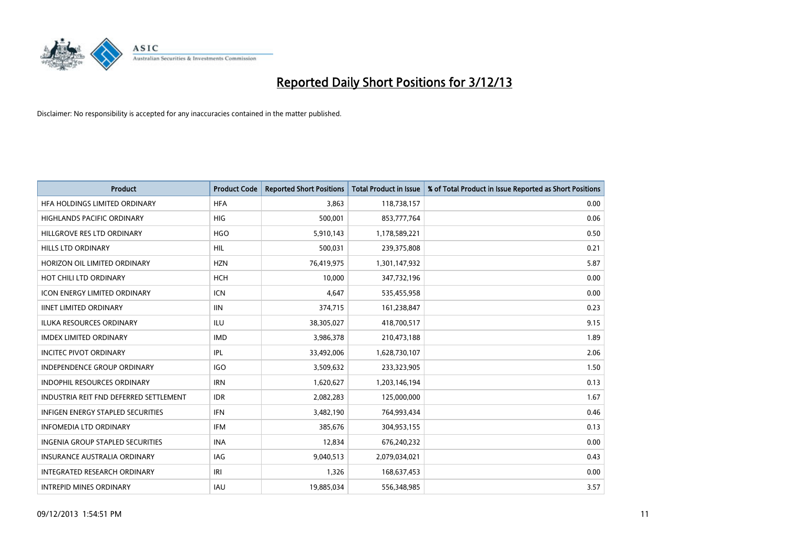

| <b>Product</b>                           | <b>Product Code</b> | <b>Reported Short Positions</b> | <b>Total Product in Issue</b> | % of Total Product in Issue Reported as Short Positions |
|------------------------------------------|---------------------|---------------------------------|-------------------------------|---------------------------------------------------------|
| HFA HOLDINGS LIMITED ORDINARY            | <b>HFA</b>          | 3.863                           | 118,738,157                   | 0.00                                                    |
| HIGHLANDS PACIFIC ORDINARY               | HIG                 | 500,001                         | 853,777,764                   | 0.06                                                    |
| HILLGROVE RES LTD ORDINARY               | <b>HGO</b>          | 5,910,143                       | 1,178,589,221                 | 0.50                                                    |
| HILLS LTD ORDINARY                       | HIL                 | 500,031                         | 239,375,808                   | 0.21                                                    |
| HORIZON OIL LIMITED ORDINARY             | <b>HZN</b>          | 76,419,975                      | 1,301,147,932                 | 5.87                                                    |
| HOT CHILI LTD ORDINARY                   | <b>HCH</b>          | 10,000                          | 347,732,196                   | 0.00                                                    |
| <b>ICON ENERGY LIMITED ORDINARY</b>      | <b>ICN</b>          | 4,647                           | 535,455,958                   | 0.00                                                    |
| <b>IINET LIMITED ORDINARY</b>            | <b>IIN</b>          | 374,715                         | 161,238,847                   | 0.23                                                    |
| <b>ILUKA RESOURCES ORDINARY</b>          | ILU                 | 38,305,027                      | 418,700,517                   | 9.15                                                    |
| <b>IMDEX LIMITED ORDINARY</b>            | <b>IMD</b>          | 3,986,378                       | 210,473,188                   | 1.89                                                    |
| <b>INCITEC PIVOT ORDINARY</b>            | IPL                 | 33,492,006                      | 1,628,730,107                 | 2.06                                                    |
| <b>INDEPENDENCE GROUP ORDINARY</b>       | <b>IGO</b>          | 3,509,632                       | 233,323,905                   | 1.50                                                    |
| INDOPHIL RESOURCES ORDINARY              | <b>IRN</b>          | 1,620,627                       | 1,203,146,194                 | 0.13                                                    |
| INDUSTRIA REIT FND DEFERRED SETTLEMENT   | <b>IDR</b>          | 2,082,283                       | 125,000,000                   | 1.67                                                    |
| <b>INFIGEN ENERGY STAPLED SECURITIES</b> | <b>IFN</b>          | 3,482,190                       | 764,993,434                   | 0.46                                                    |
| <b>INFOMEDIA LTD ORDINARY</b>            | IFM                 | 385,676                         | 304,953,155                   | 0.13                                                    |
| INGENIA GROUP STAPLED SECURITIES         | <b>INA</b>          | 12,834                          | 676,240,232                   | 0.00                                                    |
| <b>INSURANCE AUSTRALIA ORDINARY</b>      | IAG                 | 9,040,513                       | 2,079,034,021                 | 0.43                                                    |
| INTEGRATED RESEARCH ORDINARY             | IRI                 | 1,326                           | 168,637,453                   | 0.00                                                    |
| <b>INTREPID MINES ORDINARY</b>           | <b>IAU</b>          | 19,885,034                      | 556,348,985                   | 3.57                                                    |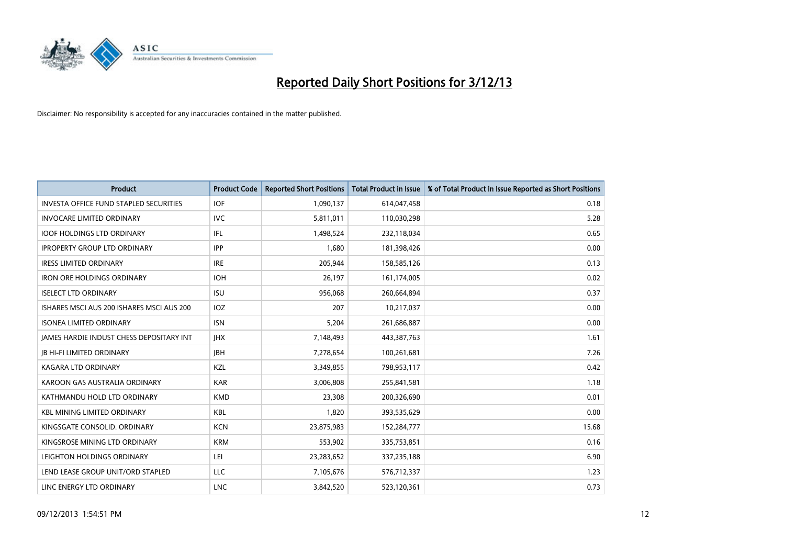

| <b>Product</b>                                | <b>Product Code</b> | <b>Reported Short Positions</b> | <b>Total Product in Issue</b> | % of Total Product in Issue Reported as Short Positions |
|-----------------------------------------------|---------------------|---------------------------------|-------------------------------|---------------------------------------------------------|
| <b>INVESTA OFFICE FUND STAPLED SECURITIES</b> | <b>IOF</b>          | 1,090,137                       | 614,047,458                   | 0.18                                                    |
| <b>INVOCARE LIMITED ORDINARY</b>              | IVC                 | 5,811,011                       | 110,030,298                   | 5.28                                                    |
| <b>IOOF HOLDINGS LTD ORDINARY</b>             | IFL                 | 1,498,524                       | 232,118,034                   | 0.65                                                    |
| <b>IPROPERTY GROUP LTD ORDINARY</b>           | <b>IPP</b>          | 1,680                           | 181,398,426                   | 0.00                                                    |
| <b>IRESS LIMITED ORDINARY</b>                 | <b>IRE</b>          | 205,944                         | 158,585,126                   | 0.13                                                    |
| <b>IRON ORE HOLDINGS ORDINARY</b>             | <b>IOH</b>          | 26,197                          | 161,174,005                   | 0.02                                                    |
| <b>ISELECT LTD ORDINARY</b>                   | <b>ISU</b>          | 956,068                         | 260,664,894                   | 0.37                                                    |
| ISHARES MSCI AUS 200 ISHARES MSCI AUS 200     | <b>IOZ</b>          | 207                             | 10,217,037                    | 0.00                                                    |
| <b>ISONEA LIMITED ORDINARY</b>                | <b>ISN</b>          | 5,204                           | 261,686,887                   | 0.00                                                    |
| JAMES HARDIE INDUST CHESS DEPOSITARY INT      | <b>IHX</b>          | 7,148,493                       | 443,387,763                   | 1.61                                                    |
| <b>JB HI-FI LIMITED ORDINARY</b>              | <b>IBH</b>          | 7,278,654                       | 100,261,681                   | 7.26                                                    |
| <b>KAGARA LTD ORDINARY</b>                    | KZL                 | 3,349,855                       | 798,953,117                   | 0.42                                                    |
| KAROON GAS AUSTRALIA ORDINARY                 | <b>KAR</b>          | 3,006,808                       | 255,841,581                   | 1.18                                                    |
| KATHMANDU HOLD LTD ORDINARY                   | <b>KMD</b>          | 23,308                          | 200,326,690                   | 0.01                                                    |
| <b>KBL MINING LIMITED ORDINARY</b>            | <b>KBL</b>          | 1,820                           | 393,535,629                   | 0.00                                                    |
| KINGSGATE CONSOLID. ORDINARY                  | <b>KCN</b>          | 23,875,983                      | 152,284,777                   | 15.68                                                   |
| KINGSROSE MINING LTD ORDINARY                 | <b>KRM</b>          | 553,902                         | 335,753,851                   | 0.16                                                    |
| LEIGHTON HOLDINGS ORDINARY                    | LEI                 | 23,283,652                      | 337,235,188                   | 6.90                                                    |
| LEND LEASE GROUP UNIT/ORD STAPLED             | LLC                 | 7,105,676                       | 576,712,337                   | 1.23                                                    |
| LINC ENERGY LTD ORDINARY                      | <b>LNC</b>          | 3,842,520                       | 523,120,361                   | 0.73                                                    |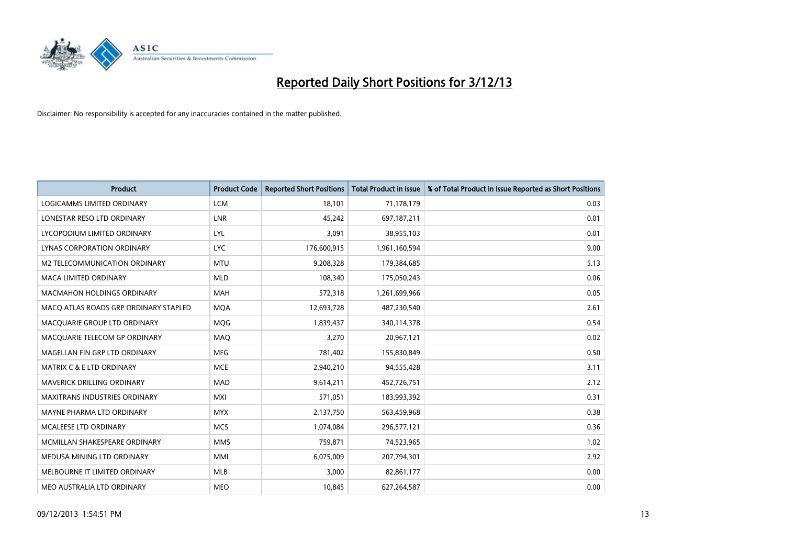

| <b>Product</b>                        | <b>Product Code</b> | <b>Reported Short Positions</b> | <b>Total Product in Issue</b> | % of Total Product in Issue Reported as Short Positions |
|---------------------------------------|---------------------|---------------------------------|-------------------------------|---------------------------------------------------------|
| <b>LOGICAMMS LIMITED ORDINARY</b>     | <b>LCM</b>          | 18,101                          | 71,178,179                    | 0.03                                                    |
| LONESTAR RESO LTD ORDINARY            | LNR                 | 45,242                          | 697,187,211                   | 0.01                                                    |
| LYCOPODIUM LIMITED ORDINARY           | <b>LYL</b>          | 3,091                           | 38,955,103                    | 0.01                                                    |
| LYNAS CORPORATION ORDINARY            | <b>LYC</b>          | 176,600,915                     | 1,961,160,594                 | 9.00                                                    |
| <b>M2 TELECOMMUNICATION ORDINARY</b>  | <b>MTU</b>          | 9,208,328                       | 179,384,685                   | 5.13                                                    |
| <b>MACA LIMITED ORDINARY</b>          | <b>MLD</b>          | 108,340                         | 175,050,243                   | 0.06                                                    |
| <b>MACMAHON HOLDINGS ORDINARY</b>     | MAH                 | 572,318                         | 1,261,699,966                 | 0.05                                                    |
| MACO ATLAS ROADS GRP ORDINARY STAPLED | <b>MOA</b>          | 12,693,728                      | 487,230,540                   | 2.61                                                    |
| MACQUARIE GROUP LTD ORDINARY          | <b>MOG</b>          | 1,839,437                       | 340,114,378                   | 0.54                                                    |
| MACQUARIE TELECOM GP ORDINARY         | MAQ                 | 3,270                           | 20,967,121                    | 0.02                                                    |
| MAGELLAN FIN GRP LTD ORDINARY         | <b>MFG</b>          | 781,402                         | 155,830,849                   | 0.50                                                    |
| <b>MATRIX C &amp; E LTD ORDINARY</b>  | <b>MCE</b>          | 2,940,210                       | 94,555,428                    | 3.11                                                    |
| MAVERICK DRILLING ORDINARY            | <b>MAD</b>          | 9,614,211                       | 452,726,751                   | 2.12                                                    |
| <b>MAXITRANS INDUSTRIES ORDINARY</b>  | <b>MXI</b>          | 571,051                         | 183,993,392                   | 0.31                                                    |
| MAYNE PHARMA LTD ORDINARY             | <b>MYX</b>          | 2,137,750                       | 563,459,968                   | 0.38                                                    |
| MCALEESE LTD ORDINARY                 | <b>MCS</b>          | 1,074,084                       | 296,577,121                   | 0.36                                                    |
| MCMILLAN SHAKESPEARE ORDINARY         | <b>MMS</b>          | 759,871                         | 74,523,965                    | 1.02                                                    |
| MEDUSA MINING LTD ORDINARY            | <b>MML</b>          | 6,075,009                       | 207,794,301                   | 2.92                                                    |
| MELBOURNE IT LIMITED ORDINARY         | <b>MLB</b>          | 3,000                           | 82,861,177                    | 0.00                                                    |
| MEO AUSTRALIA LTD ORDINARY            | <b>MEO</b>          | 10,845                          | 627,264,587                   | 0.00                                                    |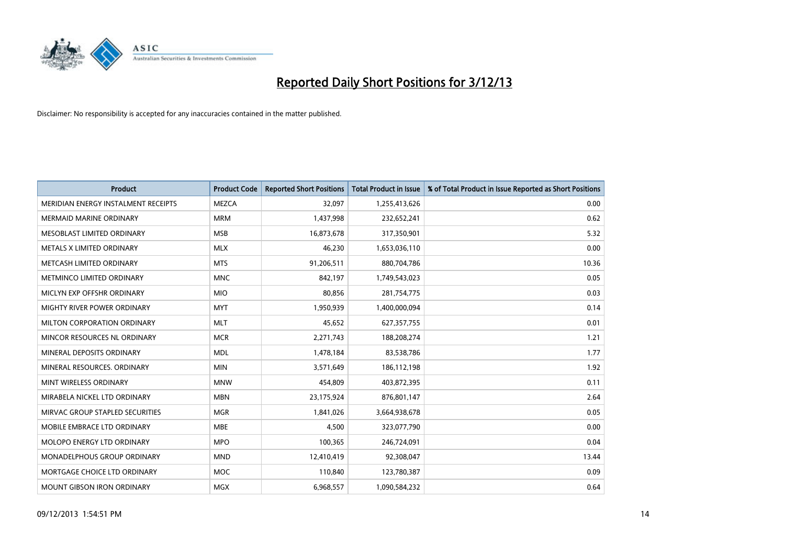

| <b>Product</b>                      | <b>Product Code</b> | <b>Reported Short Positions</b> | <b>Total Product in Issue</b> | % of Total Product in Issue Reported as Short Positions |
|-------------------------------------|---------------------|---------------------------------|-------------------------------|---------------------------------------------------------|
| MERIDIAN ENERGY INSTALMENT RECEIPTS | <b>MEZCA</b>        | 32,097                          | 1,255,413,626                 | 0.00                                                    |
| MERMAID MARINE ORDINARY             | <b>MRM</b>          | 1,437,998                       | 232,652,241                   | 0.62                                                    |
| MESOBLAST LIMITED ORDINARY          | <b>MSB</b>          | 16,873,678                      | 317,350,901                   | 5.32                                                    |
| METALS X LIMITED ORDINARY           | <b>MLX</b>          | 46,230                          | 1,653,036,110                 | 0.00                                                    |
| METCASH LIMITED ORDINARY            | <b>MTS</b>          | 91,206,511                      | 880,704,786                   | 10.36                                                   |
| METMINCO LIMITED ORDINARY           | <b>MNC</b>          | 842,197                         | 1,749,543,023                 | 0.05                                                    |
| MICLYN EXP OFFSHR ORDINARY          | <b>MIO</b>          | 80,856                          | 281,754,775                   | 0.03                                                    |
| MIGHTY RIVER POWER ORDINARY         | <b>MYT</b>          | 1,950,939                       | 1,400,000,094                 | 0.14                                                    |
| MILTON CORPORATION ORDINARY         | <b>MLT</b>          | 45,652                          | 627,357,755                   | 0.01                                                    |
| MINCOR RESOURCES NL ORDINARY        | <b>MCR</b>          | 2,271,743                       | 188,208,274                   | 1.21                                                    |
| MINERAL DEPOSITS ORDINARY           | <b>MDL</b>          | 1,478,184                       | 83,538,786                    | 1.77                                                    |
| MINERAL RESOURCES, ORDINARY         | <b>MIN</b>          | 3,571,649                       | 186,112,198                   | 1.92                                                    |
| MINT WIRELESS ORDINARY              | <b>MNW</b>          | 454,809                         | 403,872,395                   | 0.11                                                    |
| MIRABELA NICKEL LTD ORDINARY        | <b>MBN</b>          | 23,175,924                      | 876,801,147                   | 2.64                                                    |
| MIRVAC GROUP STAPLED SECURITIES     | <b>MGR</b>          | 1,841,026                       | 3,664,938,678                 | 0.05                                                    |
| MOBILE EMBRACE LTD ORDINARY         | <b>MBE</b>          | 4,500                           | 323,077,790                   | 0.00                                                    |
| MOLOPO ENERGY LTD ORDINARY          | <b>MPO</b>          | 100,365                         | 246,724,091                   | 0.04                                                    |
| MONADELPHOUS GROUP ORDINARY         | <b>MND</b>          | 12,410,419                      | 92,308,047                    | 13.44                                                   |
| MORTGAGE CHOICE LTD ORDINARY        | <b>MOC</b>          | 110,840                         | 123,780,387                   | 0.09                                                    |
| MOUNT GIBSON IRON ORDINARY          | MGX                 | 6,968,557                       | 1,090,584,232                 | 0.64                                                    |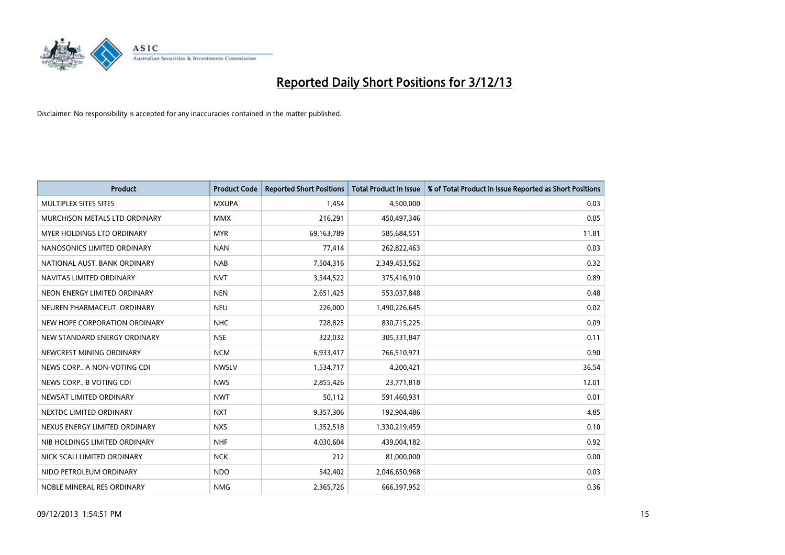

| <b>Product</b>                    | <b>Product Code</b> | <b>Reported Short Positions</b> | <b>Total Product in Issue</b> | % of Total Product in Issue Reported as Short Positions |
|-----------------------------------|---------------------|---------------------------------|-------------------------------|---------------------------------------------------------|
| MULTIPLEX SITES SITES             | <b>MXUPA</b>        | 1,454                           | 4,500,000                     | 0.03                                                    |
| MURCHISON METALS LTD ORDINARY     | <b>MMX</b>          | 216,291                         | 450,497,346                   | 0.05                                                    |
| <b>MYER HOLDINGS LTD ORDINARY</b> | <b>MYR</b>          | 69,163,789                      | 585,684,551                   | 11.81                                                   |
| NANOSONICS LIMITED ORDINARY       | <b>NAN</b>          | 77,414                          | 262,822,463                   | 0.03                                                    |
| NATIONAL AUST. BANK ORDINARY      | <b>NAB</b>          | 7,504,316                       | 2,349,453,562                 | 0.32                                                    |
| NAVITAS LIMITED ORDINARY          | <b>NVT</b>          | 3,344,522                       | 375,416,910                   | 0.89                                                    |
| NEON ENERGY LIMITED ORDINARY      | <b>NEN</b>          | 2,651,425                       | 553,037,848                   | 0.48                                                    |
| NEUREN PHARMACEUT, ORDINARY       | <b>NEU</b>          | 226,000                         | 1,490,226,645                 | 0.02                                                    |
| NEW HOPE CORPORATION ORDINARY     | <b>NHC</b>          | 728,825                         | 830,715,225                   | 0.09                                                    |
| NEW STANDARD ENERGY ORDINARY      | <b>NSE</b>          | 322,032                         | 305,331,847                   | 0.11                                                    |
| NEWCREST MINING ORDINARY          | <b>NCM</b>          | 6,933,417                       | 766,510,971                   | 0.90                                                    |
| NEWS CORP A NON-VOTING CDI        | <b>NWSLV</b>        | 1,534,717                       | 4,200,421                     | 36.54                                                   |
| NEWS CORP B VOTING CDI            | <b>NWS</b>          | 2,855,426                       | 23,771,818                    | 12.01                                                   |
| NEWSAT LIMITED ORDINARY           | <b>NWT</b>          | 50,112                          | 591,460,931                   | 0.01                                                    |
| NEXTDC LIMITED ORDINARY           | <b>NXT</b>          | 9,357,306                       | 192,904,486                   | 4.85                                                    |
| NEXUS ENERGY LIMITED ORDINARY     | <b>NXS</b>          | 1,352,518                       | 1,330,219,459                 | 0.10                                                    |
| NIB HOLDINGS LIMITED ORDINARY     | <b>NHF</b>          | 4,030,604                       | 439,004,182                   | 0.92                                                    |
| NICK SCALI LIMITED ORDINARY       | <b>NCK</b>          | 212                             | 81,000,000                    | 0.00                                                    |
| NIDO PETROLEUM ORDINARY           | <b>NDO</b>          | 542,402                         | 2,046,650,968                 | 0.03                                                    |
| NOBLE MINERAL RES ORDINARY        | <b>NMG</b>          | 2,365,726                       | 666,397,952                   | 0.36                                                    |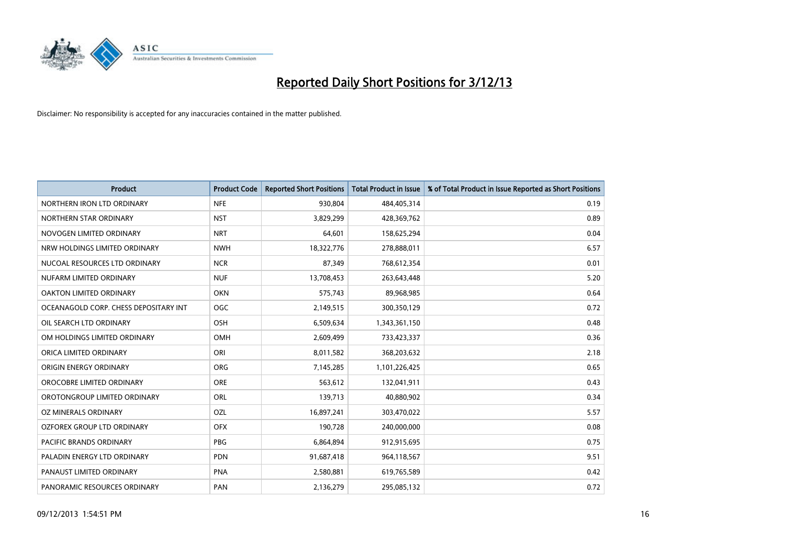

| <b>Product</b>                        | <b>Product Code</b> | <b>Reported Short Positions</b> | <b>Total Product in Issue</b> | % of Total Product in Issue Reported as Short Positions |
|---------------------------------------|---------------------|---------------------------------|-------------------------------|---------------------------------------------------------|
| NORTHERN IRON LTD ORDINARY            | <b>NFE</b>          | 930,804                         | 484,405,314                   | 0.19                                                    |
| NORTHERN STAR ORDINARY                | <b>NST</b>          | 3,829,299                       | 428,369,762                   | 0.89                                                    |
| NOVOGEN LIMITED ORDINARY              | <b>NRT</b>          | 64,601                          | 158,625,294                   | 0.04                                                    |
| NRW HOLDINGS LIMITED ORDINARY         | <b>NWH</b>          | 18,322,776                      | 278,888,011                   | 6.57                                                    |
| NUCOAL RESOURCES LTD ORDINARY         | <b>NCR</b>          | 87,349                          | 768,612,354                   | 0.01                                                    |
| NUFARM LIMITED ORDINARY               | <b>NUF</b>          | 13,708,453                      | 263,643,448                   | 5.20                                                    |
| OAKTON LIMITED ORDINARY               | <b>OKN</b>          | 575,743                         | 89,968,985                    | 0.64                                                    |
| OCEANAGOLD CORP. CHESS DEPOSITARY INT | <b>OGC</b>          | 2,149,515                       | 300,350,129                   | 0.72                                                    |
| OIL SEARCH LTD ORDINARY               | OSH                 | 6,509,634                       | 1,343,361,150                 | 0.48                                                    |
| OM HOLDINGS LIMITED ORDINARY          | <b>OMH</b>          | 2,609,499                       | 733,423,337                   | 0.36                                                    |
| ORICA LIMITED ORDINARY                | ORI                 | 8,011,582                       | 368,203,632                   | 2.18                                                    |
| ORIGIN ENERGY ORDINARY                | <b>ORG</b>          | 7,145,285                       | 1,101,226,425                 | 0.65                                                    |
| OROCOBRE LIMITED ORDINARY             | <b>ORE</b>          | 563,612                         | 132,041,911                   | 0.43                                                    |
| OROTONGROUP LIMITED ORDINARY          | ORL                 | 139,713                         | 40,880,902                    | 0.34                                                    |
| <b>OZ MINERALS ORDINARY</b>           | <b>OZL</b>          | 16,897,241                      | 303,470,022                   | 5.57                                                    |
| OZFOREX GROUP LTD ORDINARY            | <b>OFX</b>          | 190,728                         | 240,000,000                   | 0.08                                                    |
| PACIFIC BRANDS ORDINARY               | PBG                 | 6,864,894                       | 912,915,695                   | 0.75                                                    |
| PALADIN ENERGY LTD ORDINARY           | <b>PDN</b>          | 91,687,418                      | 964,118,567                   | 9.51                                                    |
| PANAUST LIMITED ORDINARY              | <b>PNA</b>          | 2,580,881                       | 619,765,589                   | 0.42                                                    |
| PANORAMIC RESOURCES ORDINARY          | PAN                 | 2,136,279                       | 295,085,132                   | 0.72                                                    |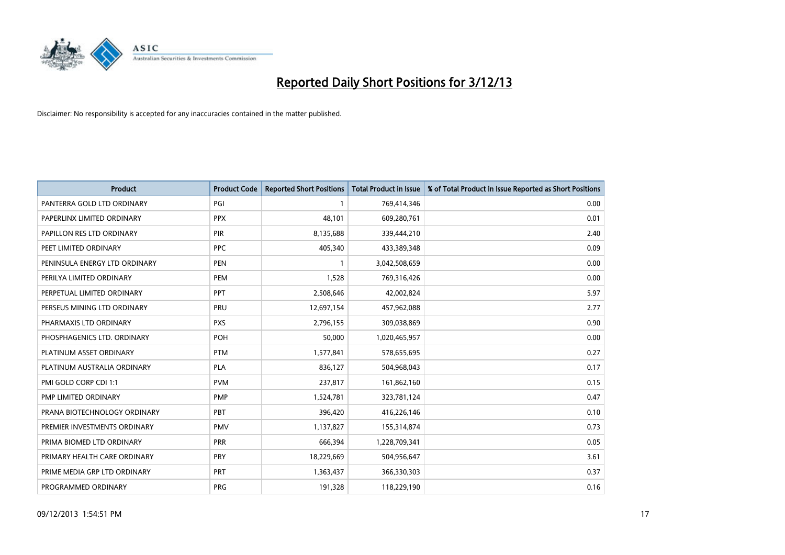

| <b>Product</b>                | <b>Product Code</b> | <b>Reported Short Positions</b> | <b>Total Product in Issue</b> | % of Total Product in Issue Reported as Short Positions |
|-------------------------------|---------------------|---------------------------------|-------------------------------|---------------------------------------------------------|
| PANTERRA GOLD LTD ORDINARY    | PGI                 | $\mathbf{1}$                    | 769,414,346                   | 0.00                                                    |
| PAPERLINX LIMITED ORDINARY    | <b>PPX</b>          | 48.101                          | 609,280,761                   | 0.01                                                    |
| PAPILLON RES LTD ORDINARY     | PIR                 | 8,135,688                       | 339,444,210                   | 2.40                                                    |
| PEET LIMITED ORDINARY         | <b>PPC</b>          | 405,340                         | 433,389,348                   | 0.09                                                    |
| PENINSULA ENERGY LTD ORDINARY | <b>PEN</b>          | $\mathbf{1}$                    | 3,042,508,659                 | 0.00                                                    |
| PERILYA LIMITED ORDINARY      | PEM                 | 1,528                           | 769,316,426                   | 0.00                                                    |
| PERPETUAL LIMITED ORDINARY    | <b>PPT</b>          | 2,508,646                       | 42,002,824                    | 5.97                                                    |
| PERSEUS MINING LTD ORDINARY   | PRU                 | 12,697,154                      | 457,962,088                   | 2.77                                                    |
| PHARMAXIS LTD ORDINARY        | <b>PXS</b>          | 2,796,155                       | 309,038,869                   | 0.90                                                    |
| PHOSPHAGENICS LTD. ORDINARY   | POH                 | 50,000                          | 1,020,465,957                 | 0.00                                                    |
| PLATINUM ASSET ORDINARY       | <b>PTM</b>          | 1,577,841                       | 578,655,695                   | 0.27                                                    |
| PLATINUM AUSTRALIA ORDINARY   | <b>PLA</b>          | 836,127                         | 504,968,043                   | 0.17                                                    |
| PMI GOLD CORP CDI 1:1         | <b>PVM</b>          | 237,817                         | 161,862,160                   | 0.15                                                    |
| PMP LIMITED ORDINARY          | <b>PMP</b>          | 1,524,781                       | 323,781,124                   | 0.47                                                    |
| PRANA BIOTECHNOLOGY ORDINARY  | <b>PBT</b>          | 396,420                         | 416,226,146                   | 0.10                                                    |
| PREMIER INVESTMENTS ORDINARY  | <b>PMV</b>          | 1,137,827                       | 155,314,874                   | 0.73                                                    |
| PRIMA BIOMED LTD ORDINARY     | <b>PRR</b>          | 666,394                         | 1,228,709,341                 | 0.05                                                    |
| PRIMARY HEALTH CARE ORDINARY  | PRY                 | 18,229,669                      | 504,956,647                   | 3.61                                                    |
| PRIME MEDIA GRP LTD ORDINARY  | <b>PRT</b>          | 1,363,437                       | 366,330,303                   | 0.37                                                    |
| PROGRAMMED ORDINARY           | <b>PRG</b>          | 191,328                         | 118,229,190                   | 0.16                                                    |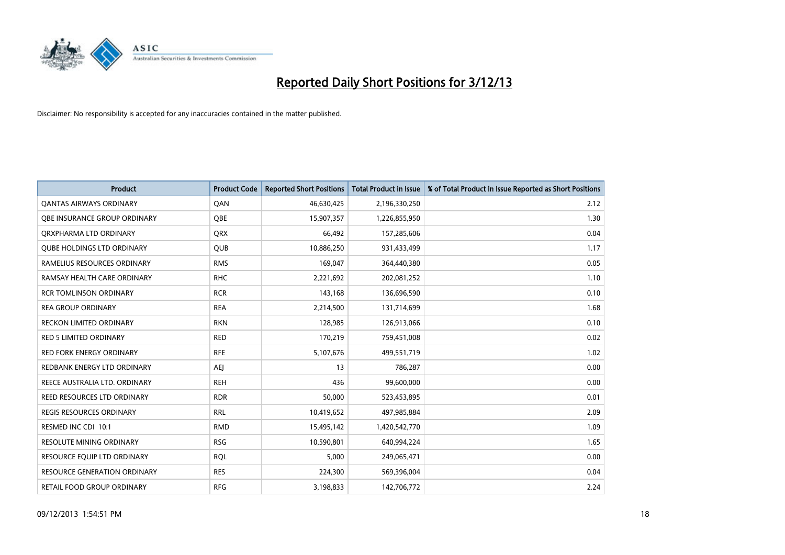

| <b>Product</b>                      | <b>Product Code</b> | <b>Reported Short Positions</b> | <b>Total Product in Issue</b> | % of Total Product in Issue Reported as Short Positions |
|-------------------------------------|---------------------|---------------------------------|-------------------------------|---------------------------------------------------------|
| <b>QANTAS AIRWAYS ORDINARY</b>      | QAN                 | 46,630,425                      | 2,196,330,250                 | 2.12                                                    |
| OBE INSURANCE GROUP ORDINARY        | QBE                 | 15,907,357                      | 1,226,855,950                 | 1.30                                                    |
| ORXPHARMA LTD ORDINARY              | <b>ORX</b>          | 66,492                          | 157,285,606                   | 0.04                                                    |
| <b>OUBE HOLDINGS LTD ORDINARY</b>   | QUB                 | 10,886,250                      | 931,433,499                   | 1.17                                                    |
| RAMELIUS RESOURCES ORDINARY         | <b>RMS</b>          | 169,047                         | 364,440,380                   | 0.05                                                    |
| RAMSAY HEALTH CARE ORDINARY         | <b>RHC</b>          | 2,221,692                       | 202,081,252                   | 1.10                                                    |
| <b>RCR TOMLINSON ORDINARY</b>       | <b>RCR</b>          | 143,168                         | 136,696,590                   | 0.10                                                    |
| <b>REA GROUP ORDINARY</b>           | <b>REA</b>          | 2,214,500                       | 131,714,699                   | 1.68                                                    |
| <b>RECKON LIMITED ORDINARY</b>      | <b>RKN</b>          | 128,985                         | 126,913,066                   | 0.10                                                    |
| RED 5 LIMITED ORDINARY              | <b>RED</b>          | 170,219                         | 759,451,008                   | 0.02                                                    |
| RED FORK ENERGY ORDINARY            | <b>RFE</b>          | 5,107,676                       | 499,551,719                   | 1.02                                                    |
| REDBANK ENERGY LTD ORDINARY         | AEJ                 | 13                              | 786,287                       | 0.00                                                    |
| REECE AUSTRALIA LTD. ORDINARY       | <b>REH</b>          | 436                             | 99,600,000                    | 0.00                                                    |
| REED RESOURCES LTD ORDINARY         | <b>RDR</b>          | 50,000                          | 523,453,895                   | 0.01                                                    |
| REGIS RESOURCES ORDINARY            | <b>RRL</b>          | 10,419,652                      | 497,985,884                   | 2.09                                                    |
| RESMED INC CDI 10:1                 | <b>RMD</b>          | 15,495,142                      | 1,420,542,770                 | 1.09                                                    |
| RESOLUTE MINING ORDINARY            | <b>RSG</b>          | 10,590,801                      | 640,994,224                   | 1.65                                                    |
| RESOURCE EQUIP LTD ORDINARY         | <b>RQL</b>          | 5,000                           | 249,065,471                   | 0.00                                                    |
| <b>RESOURCE GENERATION ORDINARY</b> | <b>RES</b>          | 224,300                         | 569,396,004                   | 0.04                                                    |
| RETAIL FOOD GROUP ORDINARY          | <b>RFG</b>          | 3,198,833                       | 142,706,772                   | 2.24                                                    |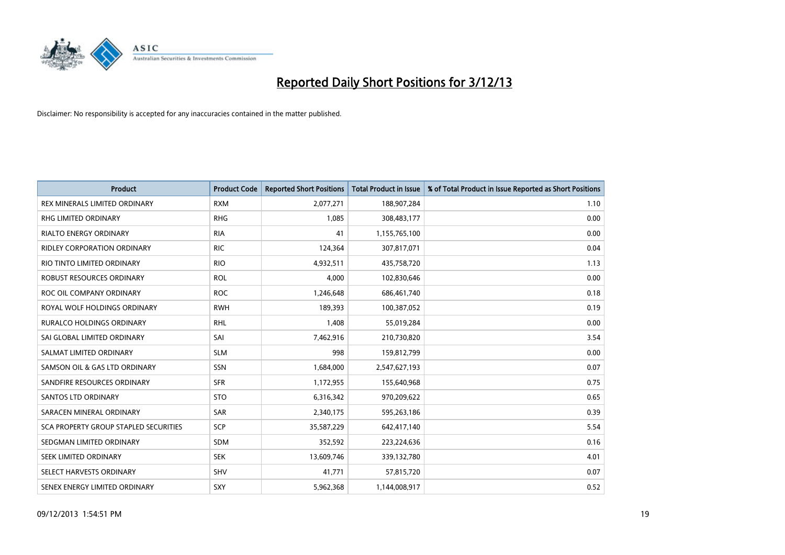

| <b>Product</b>                               | <b>Product Code</b> | <b>Reported Short Positions</b> | <b>Total Product in Issue</b> | % of Total Product in Issue Reported as Short Positions |
|----------------------------------------------|---------------------|---------------------------------|-------------------------------|---------------------------------------------------------|
| REX MINERALS LIMITED ORDINARY                | <b>RXM</b>          | 2,077,271                       | 188,907,284                   | 1.10                                                    |
| <b>RHG LIMITED ORDINARY</b>                  | <b>RHG</b>          | 1,085                           | 308,483,177                   | 0.00                                                    |
| <b>RIALTO ENERGY ORDINARY</b>                | <b>RIA</b>          | 41                              | 1,155,765,100                 | 0.00                                                    |
| <b>RIDLEY CORPORATION ORDINARY</b>           | <b>RIC</b>          | 124,364                         | 307,817,071                   | 0.04                                                    |
| RIO TINTO LIMITED ORDINARY                   | <b>RIO</b>          | 4,932,511                       | 435,758,720                   | 1.13                                                    |
| <b>ROBUST RESOURCES ORDINARY</b>             | <b>ROL</b>          | 4,000                           | 102,830,646                   | 0.00                                                    |
| ROC OIL COMPANY ORDINARY                     | <b>ROC</b>          | 1,246,648                       | 686,461,740                   | 0.18                                                    |
| ROYAL WOLF HOLDINGS ORDINARY                 | <b>RWH</b>          | 189,393                         | 100,387,052                   | 0.19                                                    |
| <b>RURALCO HOLDINGS ORDINARY</b>             | <b>RHL</b>          | 1,408                           | 55,019,284                    | 0.00                                                    |
| SAI GLOBAL LIMITED ORDINARY                  | SAI                 | 7,462,916                       | 210,730,820                   | 3.54                                                    |
| SALMAT LIMITED ORDINARY                      | <b>SLM</b>          | 998                             | 159,812,799                   | 0.00                                                    |
| SAMSON OIL & GAS LTD ORDINARY                | SSN                 | 1,684,000                       | 2,547,627,193                 | 0.07                                                    |
| SANDFIRE RESOURCES ORDINARY                  | <b>SFR</b>          | 1,172,955                       | 155,640,968                   | 0.75                                                    |
| <b>SANTOS LTD ORDINARY</b>                   | <b>STO</b>          | 6,316,342                       | 970,209,622                   | 0.65                                                    |
| SARACEN MINERAL ORDINARY                     | SAR                 | 2,340,175                       | 595,263,186                   | 0.39                                                    |
| <b>SCA PROPERTY GROUP STAPLED SECURITIES</b> | SCP                 | 35,587,229                      | 642,417,140                   | 5.54                                                    |
| SEDGMAN LIMITED ORDINARY                     | SDM                 | 352,592                         | 223,224,636                   | 0.16                                                    |
| SEEK LIMITED ORDINARY                        | <b>SEK</b>          | 13,609,746                      | 339,132,780                   | 4.01                                                    |
| SELECT HARVESTS ORDINARY                     | SHV                 | 41,771                          | 57,815,720                    | 0.07                                                    |
| SENEX ENERGY LIMITED ORDINARY                | SXY                 | 5,962,368                       | 1,144,008,917                 | 0.52                                                    |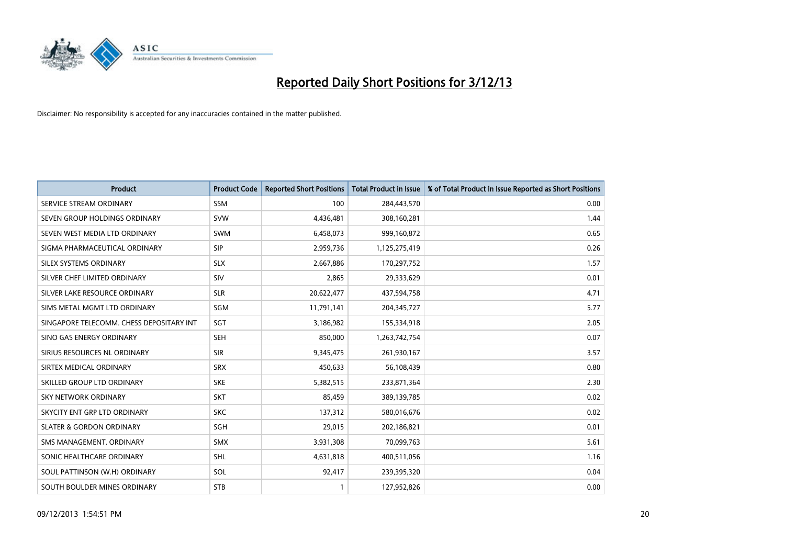

| <b>Product</b>                           | <b>Product Code</b> | <b>Reported Short Positions</b> | <b>Total Product in Issue</b> | % of Total Product in Issue Reported as Short Positions |
|------------------------------------------|---------------------|---------------------------------|-------------------------------|---------------------------------------------------------|
| SERVICE STREAM ORDINARY                  | <b>SSM</b>          | 100                             | 284,443,570                   | 0.00                                                    |
| SEVEN GROUP HOLDINGS ORDINARY            | <b>SVW</b>          | 4,436,481                       | 308,160,281                   | 1.44                                                    |
| SEVEN WEST MEDIA LTD ORDINARY            | <b>SWM</b>          | 6,458,073                       | 999,160,872                   | 0.65                                                    |
| SIGMA PHARMACEUTICAL ORDINARY            | <b>SIP</b>          | 2,959,736                       | 1,125,275,419                 | 0.26                                                    |
| SILEX SYSTEMS ORDINARY                   | <b>SLX</b>          | 2,667,886                       | 170,297,752                   | 1.57                                                    |
| SILVER CHEF LIMITED ORDINARY             | SIV                 | 2,865                           | 29,333,629                    | 0.01                                                    |
| SILVER LAKE RESOURCE ORDINARY            | <b>SLR</b>          | 20,622,477                      | 437,594,758                   | 4.71                                                    |
| SIMS METAL MGMT LTD ORDINARY             | SGM                 | 11,791,141                      | 204,345,727                   | 5.77                                                    |
| SINGAPORE TELECOMM. CHESS DEPOSITARY INT | SGT                 | 3,186,982                       | 155,334,918                   | 2.05                                                    |
| SINO GAS ENERGY ORDINARY                 | <b>SEH</b>          | 850,000                         | 1,263,742,754                 | 0.07                                                    |
| SIRIUS RESOURCES NL ORDINARY             | <b>SIR</b>          | 9,345,475                       | 261,930,167                   | 3.57                                                    |
| SIRTEX MEDICAL ORDINARY                  | <b>SRX</b>          | 450,633                         | 56,108,439                    | 0.80                                                    |
| SKILLED GROUP LTD ORDINARY               | <b>SKE</b>          | 5,382,515                       | 233,871,364                   | 2.30                                                    |
| <b>SKY NETWORK ORDINARY</b>              | <b>SKT</b>          | 85,459                          | 389,139,785                   | 0.02                                                    |
| SKYCITY ENT GRP LTD ORDINARY             | <b>SKC</b>          | 137,312                         | 580,016,676                   | 0.02                                                    |
| <b>SLATER &amp; GORDON ORDINARY</b>      | SGH                 | 29,015                          | 202,186,821                   | 0.01                                                    |
| SMS MANAGEMENT, ORDINARY                 | SMX                 | 3,931,308                       | 70,099,763                    | 5.61                                                    |
| SONIC HEALTHCARE ORDINARY                | SHL                 | 4,631,818                       | 400,511,056                   | 1.16                                                    |
| SOUL PATTINSON (W.H) ORDINARY            | SOL                 | 92,417                          | 239,395,320                   | 0.04                                                    |
| SOUTH BOULDER MINES ORDINARY             | <b>STB</b>          |                                 | 127,952,826                   | 0.00                                                    |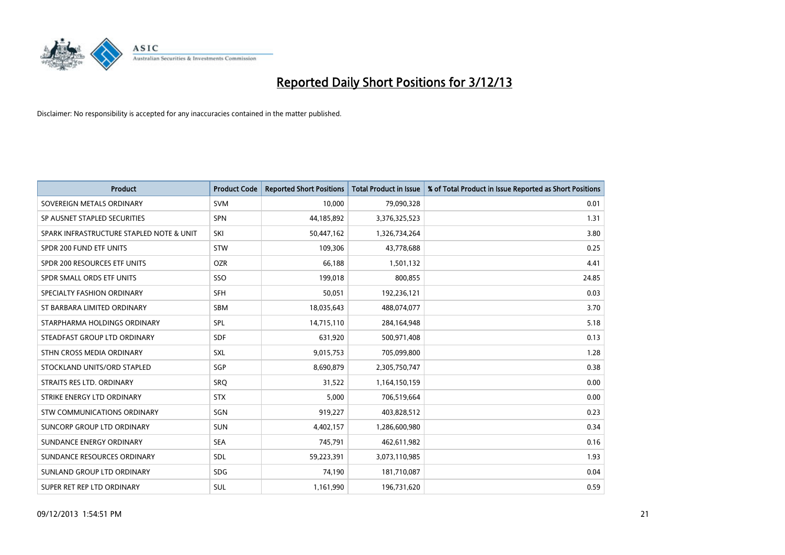

| <b>Product</b>                           | <b>Product Code</b> | <b>Reported Short Positions</b> | <b>Total Product in Issue</b> | % of Total Product in Issue Reported as Short Positions |
|------------------------------------------|---------------------|---------------------------------|-------------------------------|---------------------------------------------------------|
| SOVEREIGN METALS ORDINARY                | <b>SVM</b>          | 10,000                          | 79,090,328                    | 0.01                                                    |
| SP AUSNET STAPLED SECURITIES             | <b>SPN</b>          | 44,185,892                      | 3,376,325,523                 | 1.31                                                    |
| SPARK INFRASTRUCTURE STAPLED NOTE & UNIT | SKI                 | 50,447,162                      | 1,326,734,264                 | 3.80                                                    |
| SPDR 200 FUND ETF UNITS                  | <b>STW</b>          | 109,306                         | 43,778,688                    | 0.25                                                    |
| SPDR 200 RESOURCES ETF UNITS             | <b>OZR</b>          | 66,188                          | 1,501,132                     | 4.41                                                    |
| SPDR SMALL ORDS ETF UNITS                | SSO                 | 199,018                         | 800,855                       | 24.85                                                   |
| SPECIALTY FASHION ORDINARY               | <b>SFH</b>          | 50,051                          | 192,236,121                   | 0.03                                                    |
| ST BARBARA LIMITED ORDINARY              | SBM                 | 18,035,643                      | 488,074,077                   | 3.70                                                    |
| STARPHARMA HOLDINGS ORDINARY             | SPL                 | 14,715,110                      | 284,164,948                   | 5.18                                                    |
| STEADFAST GROUP LTD ORDINARY             | <b>SDF</b>          | 631,920                         | 500,971,408                   | 0.13                                                    |
| STHN CROSS MEDIA ORDINARY                | SXL                 | 9,015,753                       | 705,099,800                   | 1.28                                                    |
| STOCKLAND UNITS/ORD STAPLED              | SGP                 | 8,690,879                       | 2,305,750,747                 | 0.38                                                    |
| STRAITS RES LTD. ORDINARY                | SRO                 | 31,522                          | 1,164,150,159                 | 0.00                                                    |
| STRIKE ENERGY LTD ORDINARY               | <b>STX</b>          | 5,000                           | 706,519,664                   | 0.00                                                    |
| STW COMMUNICATIONS ORDINARY              | SGN                 | 919,227                         | 403,828,512                   | 0.23                                                    |
| SUNCORP GROUP LTD ORDINARY               | <b>SUN</b>          | 4,402,157                       | 1,286,600,980                 | 0.34                                                    |
| SUNDANCE ENERGY ORDINARY                 | <b>SEA</b>          | 745,791                         | 462,611,982                   | 0.16                                                    |
| SUNDANCE RESOURCES ORDINARY              | <b>SDL</b>          | 59,223,391                      | 3,073,110,985                 | 1.93                                                    |
| SUNLAND GROUP LTD ORDINARY               | <b>SDG</b>          | 74,190                          | 181,710,087                   | 0.04                                                    |
| SUPER RET REP LTD ORDINARY               | <b>SUL</b>          | 1,161,990                       | 196,731,620                   | 0.59                                                    |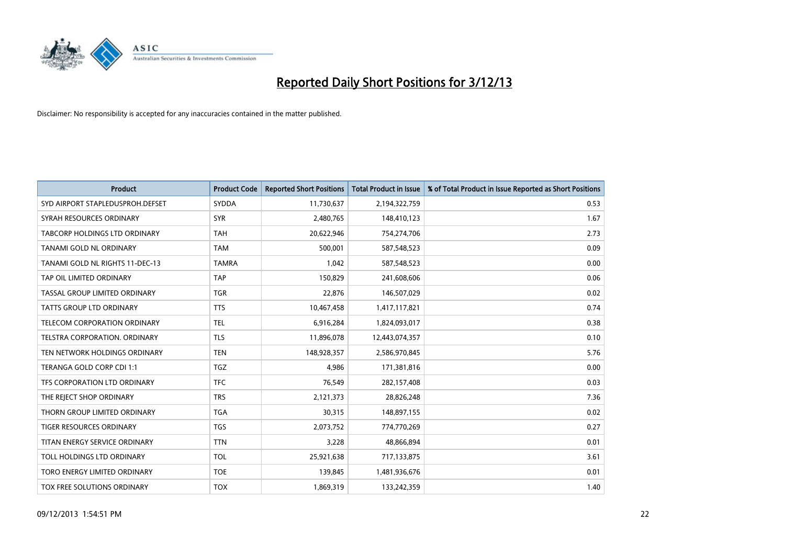

| <b>Product</b>                       | <b>Product Code</b> | <b>Reported Short Positions</b> | <b>Total Product in Issue</b> | % of Total Product in Issue Reported as Short Positions |
|--------------------------------------|---------------------|---------------------------------|-------------------------------|---------------------------------------------------------|
| SYD AIRPORT STAPLEDUSPROH.DEFSET     | <b>SYDDA</b>        | 11,730,637                      | 2,194,322,759                 | 0.53                                                    |
| SYRAH RESOURCES ORDINARY             | <b>SYR</b>          | 2,480,765                       | 148,410,123                   | 1.67                                                    |
| <b>TABCORP HOLDINGS LTD ORDINARY</b> | <b>TAH</b>          | 20,622,946                      | 754,274,706                   | 2.73                                                    |
| TANAMI GOLD NL ORDINARY              | <b>TAM</b>          | 500,001                         | 587,548,523                   | 0.09                                                    |
| TANAMI GOLD NL RIGHTS 11-DEC-13      | <b>TAMRA</b>        | 1,042                           | 587,548,523                   | 0.00                                                    |
| TAP OIL LIMITED ORDINARY             | <b>TAP</b>          | 150,829                         | 241,608,606                   | 0.06                                                    |
| TASSAL GROUP LIMITED ORDINARY        | <b>TGR</b>          | 22,876                          | 146,507,029                   | 0.02                                                    |
| TATTS GROUP LTD ORDINARY             | <b>TTS</b>          | 10,467,458                      | 1,417,117,821                 | 0.74                                                    |
| TELECOM CORPORATION ORDINARY         | <b>TEL</b>          | 6,916,284                       | 1,824,093,017                 | 0.38                                                    |
| TELSTRA CORPORATION, ORDINARY        | <b>TLS</b>          | 11,896,078                      | 12,443,074,357                | 0.10                                                    |
| TEN NETWORK HOLDINGS ORDINARY        | <b>TEN</b>          | 148,928,357                     | 2,586,970,845                 | 5.76                                                    |
| TERANGA GOLD CORP CDI 1:1            | TGZ                 | 4,986                           | 171,381,816                   | 0.00                                                    |
| TFS CORPORATION LTD ORDINARY         | <b>TFC</b>          | 76,549                          | 282,157,408                   | 0.03                                                    |
| THE REJECT SHOP ORDINARY             | <b>TRS</b>          | 2,121,373                       | 28,826,248                    | 7.36                                                    |
| THORN GROUP LIMITED ORDINARY         | <b>TGA</b>          | 30,315                          | 148,897,155                   | 0.02                                                    |
| <b>TIGER RESOURCES ORDINARY</b>      | <b>TGS</b>          | 2,073,752                       | 774,770,269                   | 0.27                                                    |
| TITAN ENERGY SERVICE ORDINARY        | <b>TTN</b>          | 3,228                           | 48,866,894                    | 0.01                                                    |
| TOLL HOLDINGS LTD ORDINARY           | <b>TOL</b>          | 25,921,638                      | 717,133,875                   | 3.61                                                    |
| TORO ENERGY LIMITED ORDINARY         | <b>TOE</b>          | 139,845                         | 1,481,936,676                 | 0.01                                                    |
| TOX FREE SOLUTIONS ORDINARY          | <b>TOX</b>          | 1,869,319                       | 133,242,359                   | 1.40                                                    |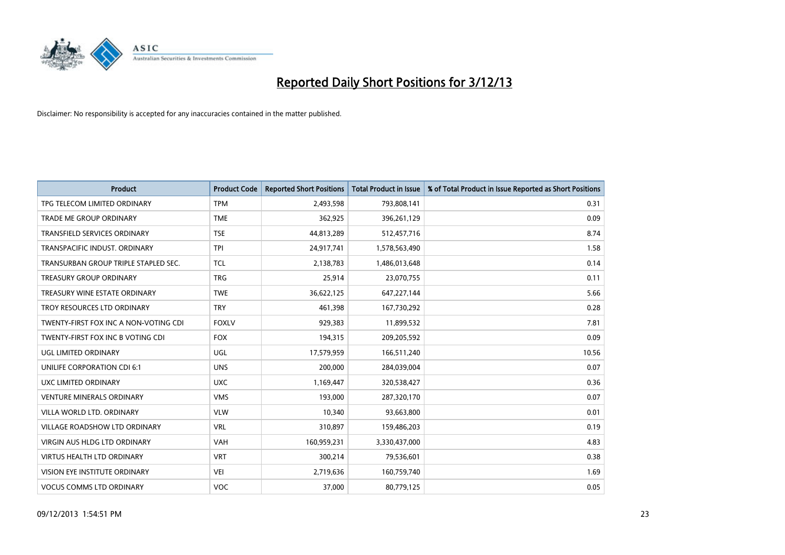

| <b>Product</b>                        | <b>Product Code</b> | <b>Reported Short Positions</b> | <b>Total Product in Issue</b> | % of Total Product in Issue Reported as Short Positions |
|---------------------------------------|---------------------|---------------------------------|-------------------------------|---------------------------------------------------------|
| TPG TELECOM LIMITED ORDINARY          | <b>TPM</b>          | 2,493,598                       | 793,808,141                   | 0.31                                                    |
| TRADE ME GROUP ORDINARY               | <b>TME</b>          | 362,925                         | 396,261,129                   | 0.09                                                    |
| <b>TRANSFIELD SERVICES ORDINARY</b>   | <b>TSE</b>          | 44,813,289                      | 512,457,716                   | 8.74                                                    |
| TRANSPACIFIC INDUST. ORDINARY         | <b>TPI</b>          | 24,917,741                      | 1,578,563,490                 | 1.58                                                    |
| TRANSURBAN GROUP TRIPLE STAPLED SEC.  | <b>TCL</b>          | 2,138,783                       | 1,486,013,648                 | 0.14                                                    |
| <b>TREASURY GROUP ORDINARY</b>        | <b>TRG</b>          | 25,914                          | 23,070,755                    | 0.11                                                    |
| TREASURY WINE ESTATE ORDINARY         | <b>TWE</b>          | 36,622,125                      | 647,227,144                   | 5.66                                                    |
| TROY RESOURCES LTD ORDINARY           | <b>TRY</b>          | 461,398                         | 167,730,292                   | 0.28                                                    |
| TWENTY-FIRST FOX INC A NON-VOTING CDI | <b>FOXLV</b>        | 929,383                         | 11,899,532                    | 7.81                                                    |
| TWENTY-FIRST FOX INC B VOTING CDI     | <b>FOX</b>          | 194,315                         | 209,205,592                   | 0.09                                                    |
| UGL LIMITED ORDINARY                  | UGL                 | 17,579,959                      | 166,511,240                   | 10.56                                                   |
| UNILIFE CORPORATION CDI 6:1           | <b>UNS</b>          | 200,000                         | 284,039,004                   | 0.07                                                    |
| UXC LIMITED ORDINARY                  | <b>UXC</b>          | 1,169,447                       | 320,538,427                   | 0.36                                                    |
| <b>VENTURE MINERALS ORDINARY</b>      | <b>VMS</b>          | 193,000                         | 287,320,170                   | 0.07                                                    |
| VILLA WORLD LTD, ORDINARY             | <b>VLW</b>          | 10,340                          | 93,663,800                    | 0.01                                                    |
| <b>VILLAGE ROADSHOW LTD ORDINARY</b>  | <b>VRL</b>          | 310,897                         | 159,486,203                   | 0.19                                                    |
| VIRGIN AUS HLDG LTD ORDINARY          | VAH                 | 160,959,231                     | 3,330,437,000                 | 4.83                                                    |
| <b>VIRTUS HEALTH LTD ORDINARY</b>     | <b>VRT</b>          | 300,214                         | 79,536,601                    | 0.38                                                    |
| VISION EYE INSTITUTE ORDINARY         | <b>VEI</b>          | 2,719,636                       | 160,759,740                   | 1.69                                                    |
| <b>VOCUS COMMS LTD ORDINARY</b>       | VOC                 | 37,000                          | 80,779,125                    | 0.05                                                    |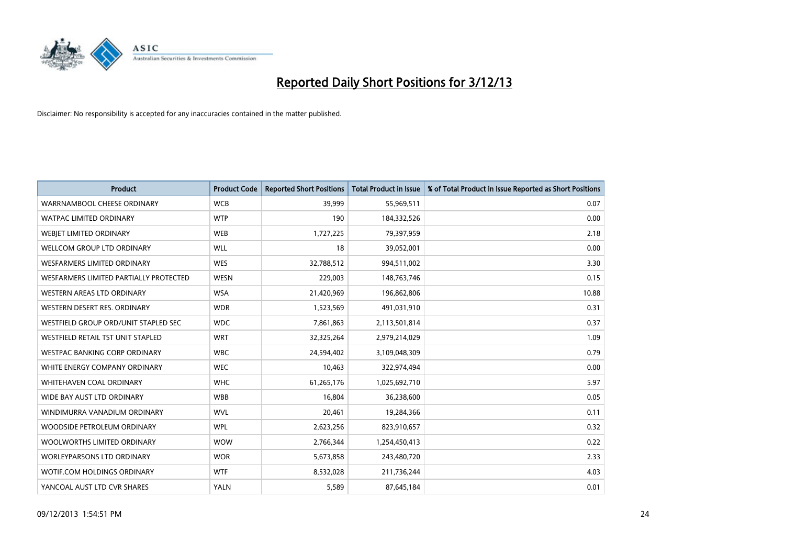

| <b>Product</b>                         | <b>Product Code</b> | <b>Reported Short Positions</b> | <b>Total Product in Issue</b> | % of Total Product in Issue Reported as Short Positions |
|----------------------------------------|---------------------|---------------------------------|-------------------------------|---------------------------------------------------------|
| WARRNAMBOOL CHEESE ORDINARY            | <b>WCB</b>          | 39,999                          | 55,969,511                    | 0.07                                                    |
| <b>WATPAC LIMITED ORDINARY</b>         | <b>WTP</b>          | 190                             | 184,332,526                   | 0.00                                                    |
| WEBJET LIMITED ORDINARY                | <b>WEB</b>          | 1,727,225                       | 79,397,959                    | 2.18                                                    |
| <b>WELLCOM GROUP LTD ORDINARY</b>      | <b>WLL</b>          | 18                              | 39,052,001                    | 0.00                                                    |
| <b>WESFARMERS LIMITED ORDINARY</b>     | <b>WES</b>          | 32,788,512                      | 994,511,002                   | 3.30                                                    |
| WESFARMERS LIMITED PARTIALLY PROTECTED | <b>WESN</b>         | 229,003                         | 148,763,746                   | 0.15                                                    |
| WESTERN AREAS LTD ORDINARY             | <b>WSA</b>          | 21,420,969                      | 196,862,806                   | 10.88                                                   |
| WESTERN DESERT RES. ORDINARY           | <b>WDR</b>          | 1,523,569                       | 491,031,910                   | 0.31                                                    |
| WESTFIELD GROUP ORD/UNIT STAPLED SEC   | <b>WDC</b>          | 7,861,863                       | 2,113,501,814                 | 0.37                                                    |
| WESTFIELD RETAIL TST UNIT STAPLED      | <b>WRT</b>          | 32,325,264                      | 2,979,214,029                 | 1.09                                                    |
| WESTPAC BANKING CORP ORDINARY          | <b>WBC</b>          | 24,594,402                      | 3,109,048,309                 | 0.79                                                    |
| WHITE ENERGY COMPANY ORDINARY          | <b>WEC</b>          | 10,463                          | 322,974,494                   | 0.00                                                    |
| WHITEHAVEN COAL ORDINARY               | <b>WHC</b>          | 61,265,176                      | 1,025,692,710                 | 5.97                                                    |
| WIDE BAY AUST LTD ORDINARY             | <b>WBB</b>          | 16,804                          | 36,238,600                    | 0.05                                                    |
| WINDIMURRA VANADIUM ORDINARY           | <b>WVL</b>          | 20,461                          | 19,284,366                    | 0.11                                                    |
| WOODSIDE PETROLEUM ORDINARY            | <b>WPL</b>          | 2,623,256                       | 823,910,657                   | 0.32                                                    |
| WOOLWORTHS LIMITED ORDINARY            | <b>WOW</b>          | 2,766,344                       | 1,254,450,413                 | 0.22                                                    |
| <b>WORLEYPARSONS LTD ORDINARY</b>      | <b>WOR</b>          | 5,673,858                       | 243,480,720                   | 2.33                                                    |
| WOTIF.COM HOLDINGS ORDINARY            | <b>WTF</b>          | 8,532,028                       | 211,736,244                   | 4.03                                                    |
| YANCOAL AUST LTD CVR SHARES            | <b>YALN</b>         | 5,589                           | 87,645,184                    | 0.01                                                    |